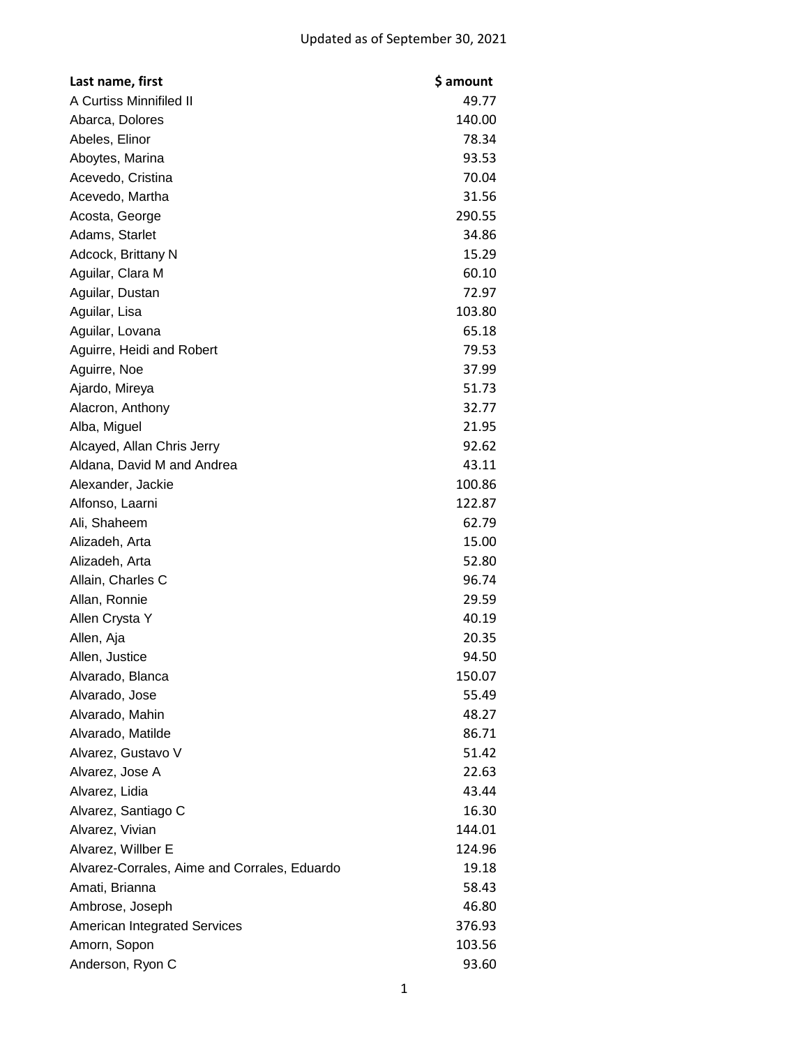| Last name, first                             | \$ amount |
|----------------------------------------------|-----------|
| A Curtiss Minnifiled II                      | 49.77     |
| Abarca, Dolores                              | 140.00    |
| Abeles, Elinor                               | 78.34     |
| Aboytes, Marina                              | 93.53     |
| Acevedo, Cristina                            | 70.04     |
| Acevedo, Martha                              | 31.56     |
| Acosta, George                               | 290.55    |
| Adams, Starlet                               | 34.86     |
| Adcock, Brittany N                           | 15.29     |
| Aguilar, Clara M                             | 60.10     |
| Aguilar, Dustan                              | 72.97     |
| Aguilar, Lisa                                | 103.80    |
| Aguilar, Lovana                              | 65.18     |
| Aguirre, Heidi and Robert                    | 79.53     |
| Aguirre, Noe                                 | 37.99     |
| Ajardo, Mireya                               | 51.73     |
| Alacron, Anthony                             | 32.77     |
| Alba, Miguel                                 | 21.95     |
| Alcayed, Allan Chris Jerry                   | 92.62     |
| Aldana, David M and Andrea                   | 43.11     |
| Alexander, Jackie                            | 100.86    |
| Alfonso, Laarni                              | 122.87    |
| Ali, Shaheem                                 | 62.79     |
| Alizadeh, Arta                               | 15.00     |
| Alizadeh, Arta                               | 52.80     |
| Allain, Charles C                            | 96.74     |
| Allan, Ronnie                                | 29.59     |
| Allen Crysta Y                               | 40.19     |
| Allen, Aja                                   | 20.35     |
| Allen, Justice                               | 94.50     |
| Alvarado, Blanca                             | 150.07    |
| Alvarado, Jose                               | 55.49     |
| Alvarado, Mahin                              | 48.27     |
| Alvarado, Matilde                            | 86.71     |
| Alvarez, Gustavo V                           | 51.42     |
| Alvarez, Jose A                              | 22.63     |
| Alvarez, Lidia                               | 43.44     |
| Alvarez, Santiago C                          | 16.30     |
| Alvarez, Vivian                              | 144.01    |
| Alvarez, Willber E                           | 124.96    |
| Alvarez-Corrales, Aime and Corrales, Eduardo | 19.18     |
| Amati, Brianna                               | 58.43     |
| Ambrose, Joseph                              | 46.80     |
| <b>American Integrated Services</b>          | 376.93    |
| Amorn, Sopon                                 | 103.56    |
| Anderson, Ryon C                             | 93.60     |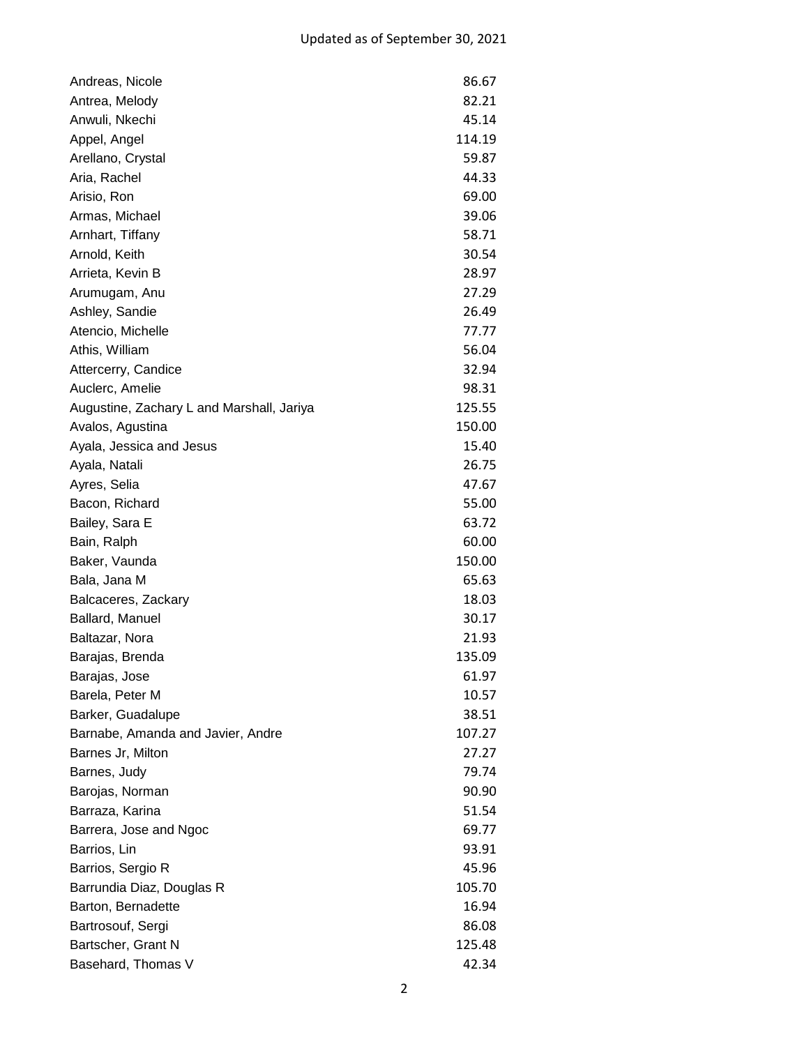| Andreas, Nicole                           | 86.67  |
|-------------------------------------------|--------|
| Antrea, Melody                            | 82.21  |
| Anwuli, Nkechi                            | 45.14  |
| Appel, Angel                              | 114.19 |
| Arellano, Crystal                         | 59.87  |
| Aria, Rachel                              | 44.33  |
| Arisio, Ron                               | 69.00  |
| Armas, Michael                            | 39.06  |
| Arnhart, Tiffany                          | 58.71  |
| Arnold, Keith                             | 30.54  |
| Arrieta, Kevin B                          | 28.97  |
| Arumugam, Anu                             | 27.29  |
| Ashley, Sandie                            | 26.49  |
| Atencio, Michelle                         | 77.77  |
| Athis, William                            | 56.04  |
| Attercerry, Candice                       | 32.94  |
| Auclerc, Amelie                           | 98.31  |
| Augustine, Zachary L and Marshall, Jariya | 125.55 |
| Avalos, Agustina                          | 150.00 |
| Ayala, Jessica and Jesus                  | 15.40  |
| Ayala, Natali                             | 26.75  |
| Ayres, Selia                              | 47.67  |
| Bacon, Richard                            | 55.00  |
| Bailey, Sara E                            | 63.72  |
| Bain, Ralph                               | 60.00  |
| Baker, Vaunda                             | 150.00 |
| Bala, Jana M                              | 65.63  |
| Balcaceres, Zackary                       | 18.03  |
| Ballard, Manuel                           | 30.17  |
| Baltazar, Nora                            | 21.93  |
| Barajas, Brenda                           | 135.09 |
| Barajas, Jose                             | 61.97  |
| Barela, Peter M                           | 10.57  |
| Barker, Guadalupe                         | 38.51  |
| Barnabe, Amanda and Javier, Andre         | 107.27 |
| Barnes Jr, Milton                         | 27.27  |
| Barnes, Judy                              | 79.74  |
| Barojas, Norman                           | 90.90  |
| Barraza, Karina                           | 51.54  |
| Barrera, Jose and Ngoc                    | 69.77  |
| Barrios, Lin                              | 93.91  |
| Barrios, Sergio R                         | 45.96  |
| Barrundia Diaz, Douglas R                 | 105.70 |
| Barton, Bernadette                        | 16.94  |
| Bartrosouf, Sergi                         | 86.08  |
| Bartscher, Grant N                        | 125.48 |
| Basehard, Thomas V                        | 42.34  |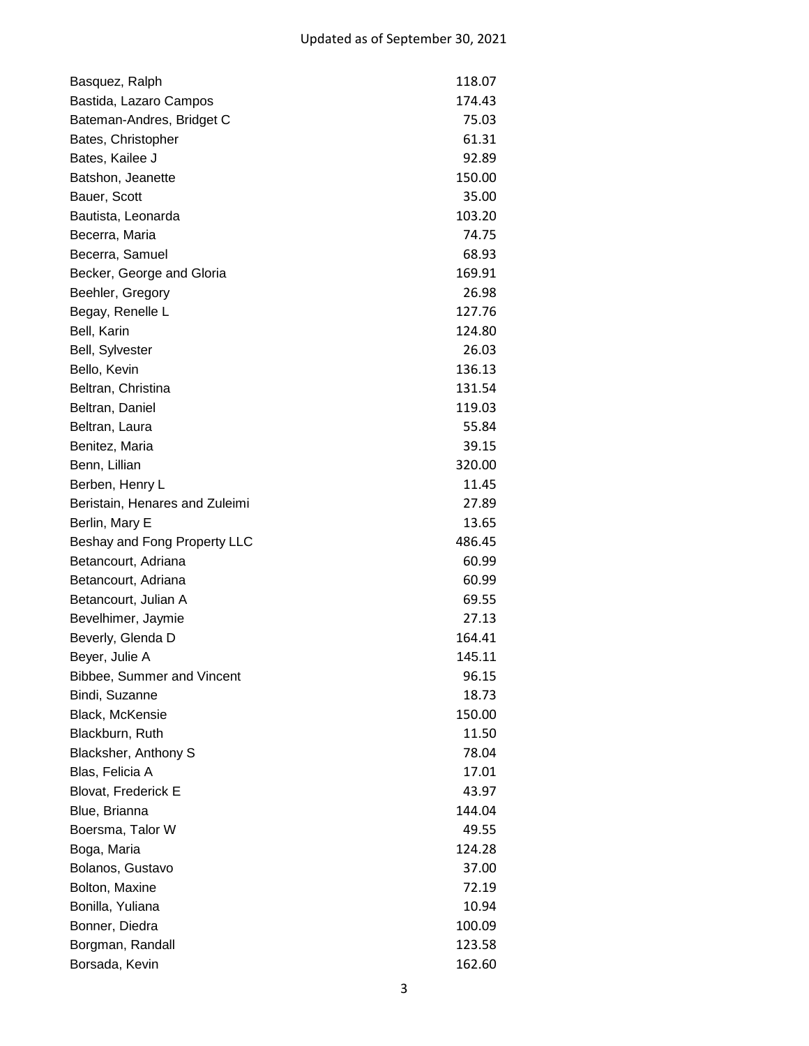| Basquez, Ralph                 | 118.07 |
|--------------------------------|--------|
| Bastida, Lazaro Campos         | 174.43 |
| Bateman-Andres, Bridget C      | 75.03  |
| Bates, Christopher             | 61.31  |
| Bates, Kailee J                | 92.89  |
| Batshon, Jeanette              | 150.00 |
| Bauer, Scott                   | 35.00  |
| Bautista, Leonarda             | 103.20 |
| Becerra, Maria                 | 74.75  |
| Becerra, Samuel                | 68.93  |
| Becker, George and Gloria      | 169.91 |
| Beehler, Gregory               | 26.98  |
| Begay, Renelle L               | 127.76 |
| Bell, Karin                    | 124.80 |
| Bell, Sylvester                | 26.03  |
| Bello, Kevin                   | 136.13 |
| Beltran, Christina             | 131.54 |
| Beltran, Daniel                | 119.03 |
| Beltran, Laura                 | 55.84  |
| Benitez, Maria                 | 39.15  |
| Benn, Lillian                  | 320.00 |
| Berben, Henry L                | 11.45  |
| Beristain, Henares and Zuleimi | 27.89  |
| Berlin, Mary E                 | 13.65  |
| Beshay and Fong Property LLC   | 486.45 |
| Betancourt, Adriana            | 60.99  |
| Betancourt, Adriana            | 60.99  |
| Betancourt, Julian A           | 69.55  |
| Bevelhimer, Jaymie             | 27.13  |
| Beverly, Glenda D              | 164.41 |
| Beyer, Julie A                 | 145.11 |
| Bibbee, Summer and Vincent     | 96.15  |
| Bindi, Suzanne                 | 18.73  |
| Black, McKensie                | 150.00 |
| Blackburn, Ruth                | 11.50  |
| Blacksher, Anthony S           | 78.04  |
| Blas, Felicia A                | 17.01  |
| <b>Blovat, Frederick E</b>     | 43.97  |
| Blue, Brianna                  | 144.04 |
| Boersma, Talor W               | 49.55  |
| Boga, Maria                    | 124.28 |
| Bolanos, Gustavo               | 37.00  |
| Bolton, Maxine                 | 72.19  |
| Bonilla, Yuliana               | 10.94  |
| Bonner, Diedra                 | 100.09 |
| Borgman, Randall               | 123.58 |
| Borsada, Kevin                 | 162.60 |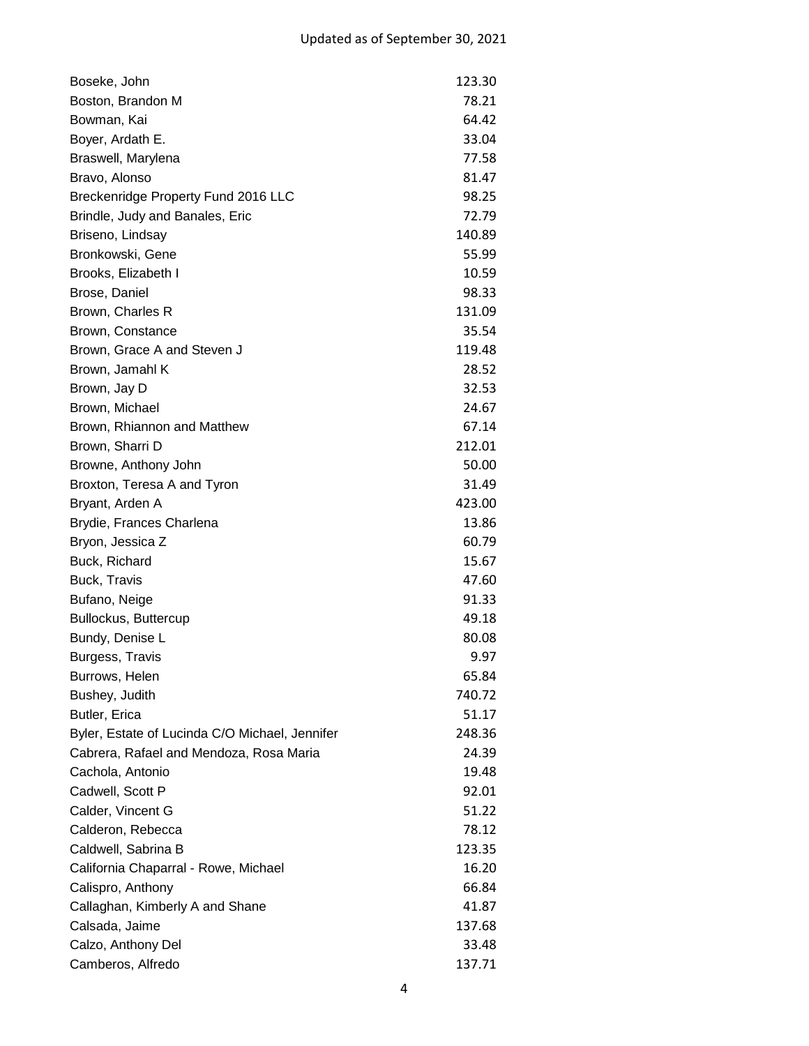| Boseke, John                                   | 123.30 |
|------------------------------------------------|--------|
| Boston, Brandon M                              | 78.21  |
| Bowman, Kai                                    | 64.42  |
| Boyer, Ardath E.                               | 33.04  |
| Braswell, Marylena                             | 77.58  |
| Bravo, Alonso                                  | 81.47  |
| Breckenridge Property Fund 2016 LLC            | 98.25  |
| Brindle, Judy and Banales, Eric                | 72.79  |
| Briseno, Lindsay                               | 140.89 |
| Bronkowski, Gene                               | 55.99  |
| Brooks, Elizabeth I                            | 10.59  |
| Brose, Daniel                                  | 98.33  |
| Brown, Charles R                               | 131.09 |
| Brown, Constance                               | 35.54  |
| Brown, Grace A and Steven J                    | 119.48 |
| Brown, Jamahl K                                | 28.52  |
| Brown, Jay D                                   | 32.53  |
| Brown, Michael                                 | 24.67  |
| Brown, Rhiannon and Matthew                    | 67.14  |
| Brown, Sharri D                                | 212.01 |
| Browne, Anthony John                           | 50.00  |
| Broxton, Teresa A and Tyron                    | 31.49  |
| Bryant, Arden A                                | 423.00 |
| Brydie, Frances Charlena                       | 13.86  |
| Bryon, Jessica Z                               | 60.79  |
| Buck, Richard                                  | 15.67  |
| Buck, Travis                                   | 47.60  |
| Bufano, Neige                                  | 91.33  |
| Bullockus, Buttercup                           | 49.18  |
| Bundy, Denise L                                | 80.08  |
| Burgess, Travis                                | 9.97   |
| Burrows, Helen                                 | 65.84  |
| Bushey, Judith                                 | 740.72 |
| Butler, Erica                                  | 51.17  |
| Byler, Estate of Lucinda C/O Michael, Jennifer | 248.36 |
| Cabrera, Rafael and Mendoza, Rosa Maria        | 24.39  |
| Cachola, Antonio                               | 19.48  |
| Cadwell, Scott P                               | 92.01  |
| Calder, Vincent G                              | 51.22  |
| Calderon, Rebecca                              | 78.12  |
| Caldwell, Sabrina B                            | 123.35 |
| California Chaparral - Rowe, Michael           | 16.20  |
| Calispro, Anthony                              | 66.84  |
| Callaghan, Kimberly A and Shane                | 41.87  |
| Calsada, Jaime                                 | 137.68 |
| Calzo, Anthony Del                             | 33.48  |
| Camberos, Alfredo                              | 137.71 |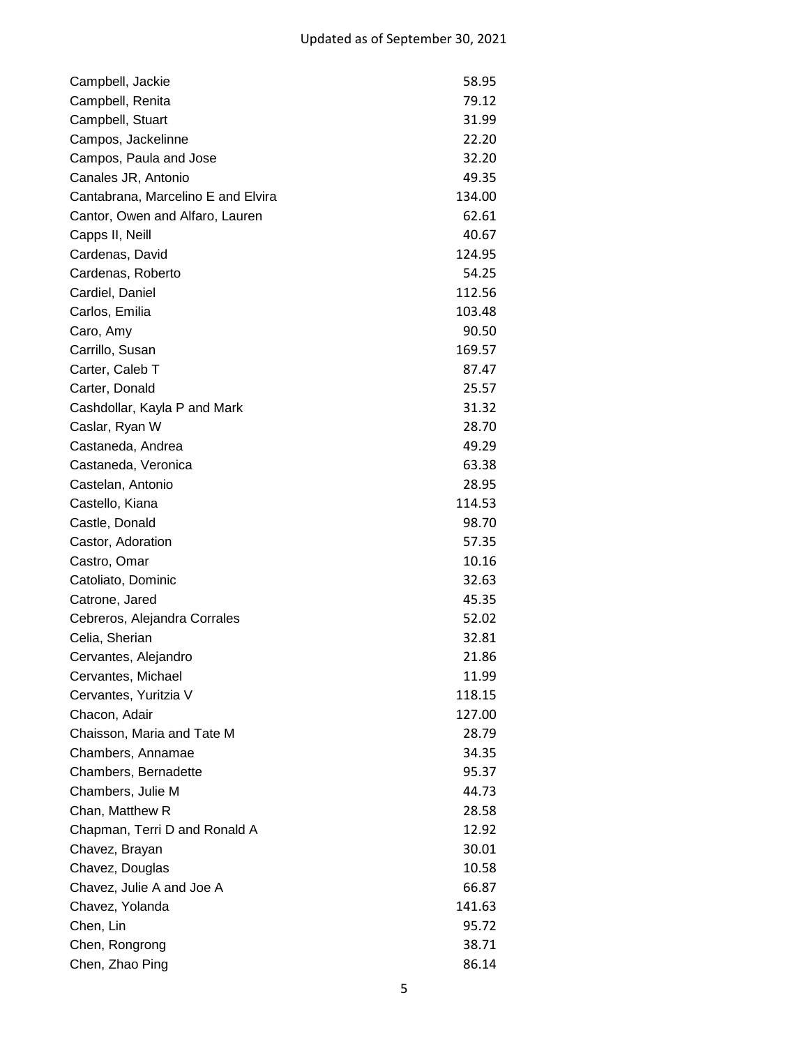| Campbell, Jackie                   | 58.95  |
|------------------------------------|--------|
| Campbell, Renita                   | 79.12  |
| Campbell, Stuart                   | 31.99  |
| Campos, Jackelinne                 | 22.20  |
| Campos, Paula and Jose             | 32.20  |
| Canales JR, Antonio                | 49.35  |
| Cantabrana, Marcelino E and Elvira | 134.00 |
| Cantor, Owen and Alfaro, Lauren    | 62.61  |
| Capps II, Neill                    | 40.67  |
| Cardenas, David                    | 124.95 |
| Cardenas, Roberto                  | 54.25  |
| Cardiel, Daniel                    | 112.56 |
| Carlos, Emilia                     | 103.48 |
| Caro, Amy                          | 90.50  |
| Carrillo, Susan                    | 169.57 |
| Carter, Caleb T                    | 87.47  |
| Carter, Donald                     | 25.57  |
| Cashdollar, Kayla P and Mark       | 31.32  |
| Caslar, Ryan W                     | 28.70  |
| Castaneda, Andrea                  | 49.29  |
| Castaneda, Veronica                | 63.38  |
| Castelan, Antonio                  | 28.95  |
| Castello, Kiana                    | 114.53 |
| Castle, Donald                     | 98.70  |
| Castor, Adoration                  | 57.35  |
| Castro, Omar                       | 10.16  |
| Catoliato, Dominic                 | 32.63  |
| Catrone, Jared                     | 45.35  |
| Cebreros, Alejandra Corrales       | 52.02  |
| Celia, Sherian                     | 32.81  |
| Cervantes, Alejandro               | 21.86  |
| Cervantes, Michael                 | 11.99  |
| Cervantes, Yuritzia V              | 118.15 |
| Chacon, Adair                      | 127.00 |
| Chaisson, Maria and Tate M         | 28.79  |
| Chambers, Annamae                  | 34.35  |
| Chambers, Bernadette               | 95.37  |
| Chambers, Julie M                  | 44.73  |
| Chan, Matthew R                    | 28.58  |
| Chapman, Terri D and Ronald A      | 12.92  |
| Chavez, Brayan                     | 30.01  |
| Chavez, Douglas                    | 10.58  |
| Chavez, Julie A and Joe A          | 66.87  |
| Chavez, Yolanda                    | 141.63 |
| Chen, Lin                          | 95.72  |
| Chen, Rongrong                     | 38.71  |
| Chen, Zhao Ping                    | 86.14  |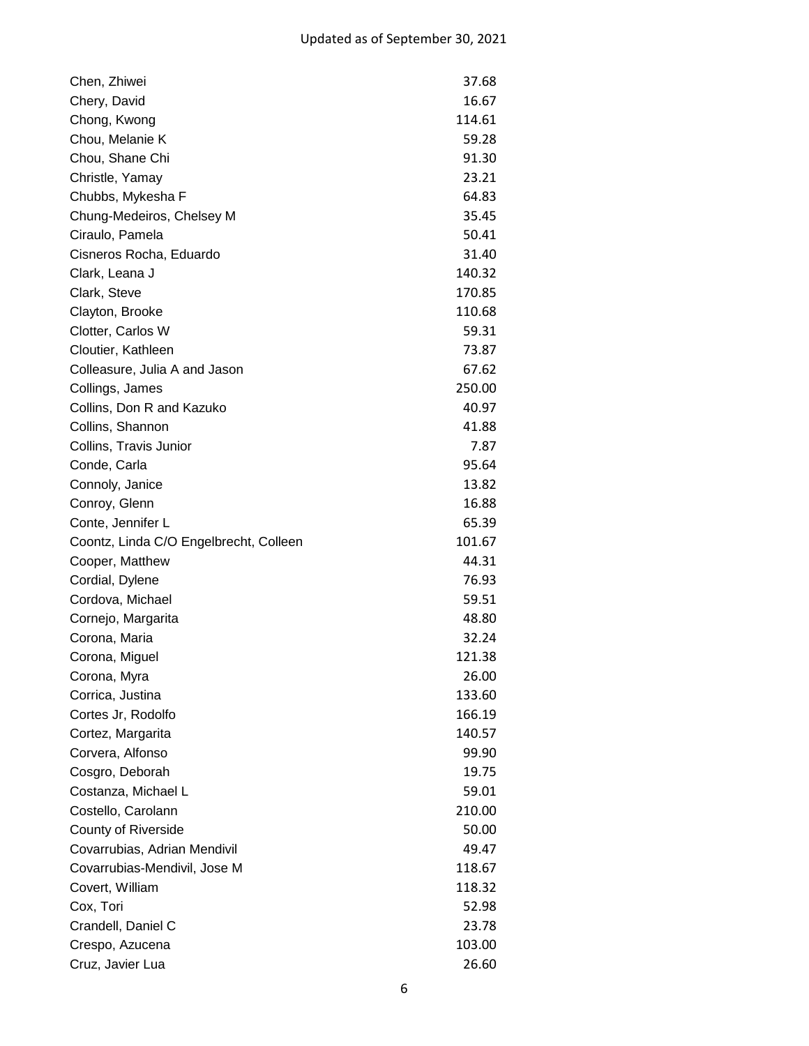| Chen, Zhiwei                           | 37.68  |
|----------------------------------------|--------|
| Chery, David                           | 16.67  |
| Chong, Kwong                           | 114.61 |
| Chou, Melanie K                        | 59.28  |
| Chou, Shane Chi                        | 91.30  |
| Christle, Yamay                        | 23.21  |
| Chubbs, Mykesha F                      | 64.83  |
| Chung-Medeiros, Chelsey M              | 35.45  |
| Ciraulo, Pamela                        | 50.41  |
| Cisneros Rocha, Eduardo                | 31.40  |
| Clark, Leana J                         | 140.32 |
| Clark, Steve                           | 170.85 |
| Clayton, Brooke                        | 110.68 |
| Clotter, Carlos W                      | 59.31  |
| Cloutier, Kathleen                     | 73.87  |
| Colleasure, Julia A and Jason          | 67.62  |
| Collings, James                        | 250.00 |
| Collins, Don R and Kazuko              | 40.97  |
| Collins, Shannon                       | 41.88  |
| Collins, Travis Junior                 | 7.87   |
| Conde, Carla                           | 95.64  |
| Connoly, Janice                        | 13.82  |
| Conroy, Glenn                          | 16.88  |
| Conte, Jennifer L                      | 65.39  |
| Coontz, Linda C/O Engelbrecht, Colleen | 101.67 |
| Cooper, Matthew                        | 44.31  |
| Cordial, Dylene                        | 76.93  |
| Cordova, Michael                       | 59.51  |
| Cornejo, Margarita                     | 48.80  |
| Corona, Maria                          | 32.24  |
| Corona, Miguel                         | 121.38 |
| Corona, Myra                           | 26.00  |
| Corrica, Justina                       | 133.60 |
| Cortes Jr, Rodolfo                     | 166.19 |
| Cortez, Margarita                      | 140.57 |
| Corvera, Alfonso                       | 99.90  |
| Cosgro, Deborah                        | 19.75  |
| Costanza, Michael L                    | 59.01  |
| Costello, Carolann                     | 210.00 |
| <b>County of Riverside</b>             | 50.00  |
| Covarrubias, Adrian Mendivil           | 49.47  |
| Covarrubias-Mendivil, Jose M           | 118.67 |
| Covert, William                        | 118.32 |
| Cox, Tori                              | 52.98  |
| Crandell, Daniel C                     | 23.78  |
| Crespo, Azucena                        | 103.00 |
| Cruz, Javier Lua                       | 26.60  |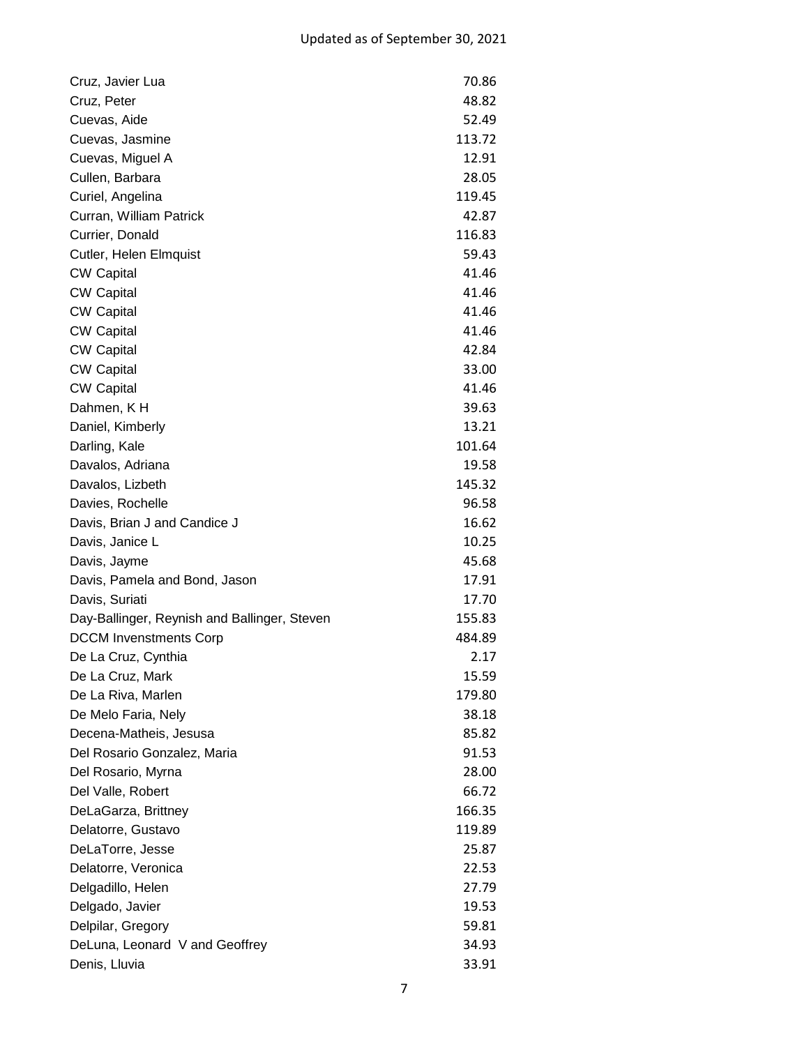| Cruz, Javier Lua                             | 70.86  |
|----------------------------------------------|--------|
| Cruz, Peter                                  | 48.82  |
| Cuevas, Aide                                 | 52.49  |
| Cuevas, Jasmine                              | 113.72 |
| Cuevas, Miguel A                             | 12.91  |
| Cullen, Barbara                              | 28.05  |
| Curiel, Angelina                             | 119.45 |
| Curran, William Patrick                      | 42.87  |
| Currier, Donald                              | 116.83 |
| Cutler, Helen Elmquist                       | 59.43  |
| <b>CW Capital</b>                            | 41.46  |
| <b>CW Capital</b>                            | 41.46  |
| <b>CW Capital</b>                            | 41.46  |
| <b>CW Capital</b>                            | 41.46  |
| <b>CW Capital</b>                            | 42.84  |
| <b>CW Capital</b>                            | 33.00  |
| <b>CW Capital</b>                            | 41.46  |
| Dahmen, KH                                   | 39.63  |
| Daniel, Kimberly                             | 13.21  |
| Darling, Kale                                | 101.64 |
| Davalos, Adriana                             | 19.58  |
| Davalos, Lizbeth                             | 145.32 |
| Davies, Rochelle                             | 96.58  |
| Davis, Brian J and Candice J                 | 16.62  |
| Davis, Janice L                              | 10.25  |
| Davis, Jayme                                 | 45.68  |
| Davis, Pamela and Bond, Jason                | 17.91  |
| Davis, Suriati                               | 17.70  |
| Day-Ballinger, Reynish and Ballinger, Steven | 155.83 |
| <b>DCCM</b> Invenstments Corp                | 484.89 |
| De La Cruz, Cynthia                          | 2.17   |
| De La Cruz, Mark                             | 15.59  |
| De La Riva, Marlen                           | 179.80 |
| De Melo Faria, Nely                          | 38.18  |
| Decena-Matheis, Jesusa                       | 85.82  |
| Del Rosario Gonzalez, Maria                  | 91.53  |
| Del Rosario, Myrna                           | 28.00  |
| Del Valle, Robert                            | 66.72  |
| DeLaGarza, Brittney                          | 166.35 |
| Delatorre, Gustavo                           | 119.89 |
| DeLaTorre, Jesse                             | 25.87  |
| Delatorre, Veronica                          | 22.53  |
| Delgadillo, Helen                            | 27.79  |
| Delgado, Javier                              | 19.53  |
| Delpilar, Gregory                            | 59.81  |
| DeLuna, Leonard V and Geoffrey               | 34.93  |
| Denis, Lluvia                                | 33.91  |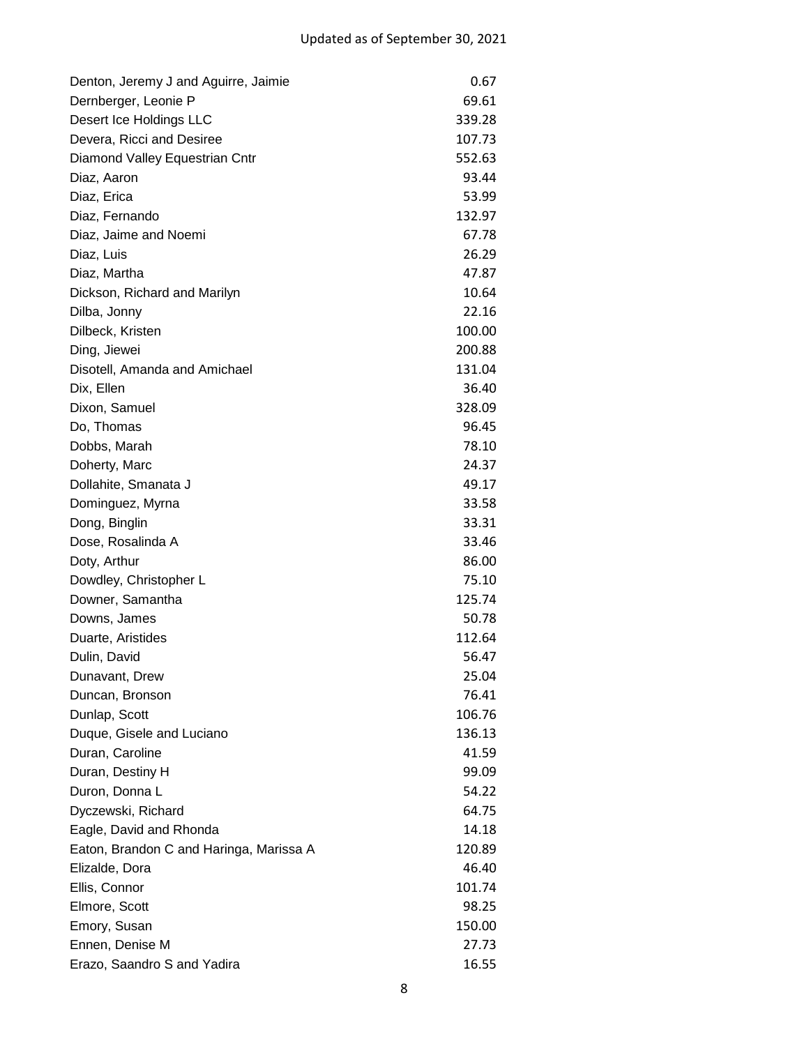| Denton, Jeremy J and Aguirre, Jaimie    | 0.67   |
|-----------------------------------------|--------|
| Dernberger, Leonie P                    | 69.61  |
| Desert Ice Holdings LLC                 | 339.28 |
| Devera, Ricci and Desiree               | 107.73 |
| Diamond Valley Equestrian Cntr          | 552.63 |
| Diaz, Aaron                             | 93.44  |
| Diaz, Erica                             | 53.99  |
| Diaz, Fernando                          | 132.97 |
| Diaz, Jaime and Noemi                   | 67.78  |
| Diaz, Luis                              | 26.29  |
| Diaz, Martha                            | 47.87  |
| Dickson, Richard and Marilyn            | 10.64  |
| Dilba, Jonny                            | 22.16  |
| Dilbeck, Kristen                        | 100.00 |
| Ding, Jiewei                            | 200.88 |
| Disotell, Amanda and Amichael           | 131.04 |
| Dix, Ellen                              | 36.40  |
| Dixon, Samuel                           | 328.09 |
| Do, Thomas                              | 96.45  |
| Dobbs, Marah                            | 78.10  |
| Doherty, Marc                           | 24.37  |
| Dollahite, Smanata J                    | 49.17  |
| Dominguez, Myrna                        | 33.58  |
| Dong, Binglin                           | 33.31  |
| Dose, Rosalinda A                       | 33.46  |
| Doty, Arthur                            | 86.00  |
| Dowdley, Christopher L                  | 75.10  |
| Downer, Samantha                        | 125.74 |
| Downs, James                            | 50.78  |
| Duarte, Aristides                       | 112.64 |
| Dulin, David                            | 56.47  |
| Dunavant, Drew                          | 25.04  |
| Duncan, Bronson                         | 76.41  |
| Dunlap, Scott                           | 106.76 |
| Duque, Gisele and Luciano               | 136.13 |
| Duran, Caroline                         | 41.59  |
| Duran, Destiny H                        | 99.09  |
| Duron, Donna L                          | 54.22  |
| Dyczewski, Richard                      | 64.75  |
| Eagle, David and Rhonda                 | 14.18  |
| Eaton, Brandon C and Haringa, Marissa A | 120.89 |
| Elizalde, Dora                          | 46.40  |
| Ellis, Connor                           | 101.74 |
| Elmore, Scott                           | 98.25  |
| Emory, Susan                            | 150.00 |
| Ennen, Denise M                         | 27.73  |
| Erazo, Saandro S and Yadira             | 16.55  |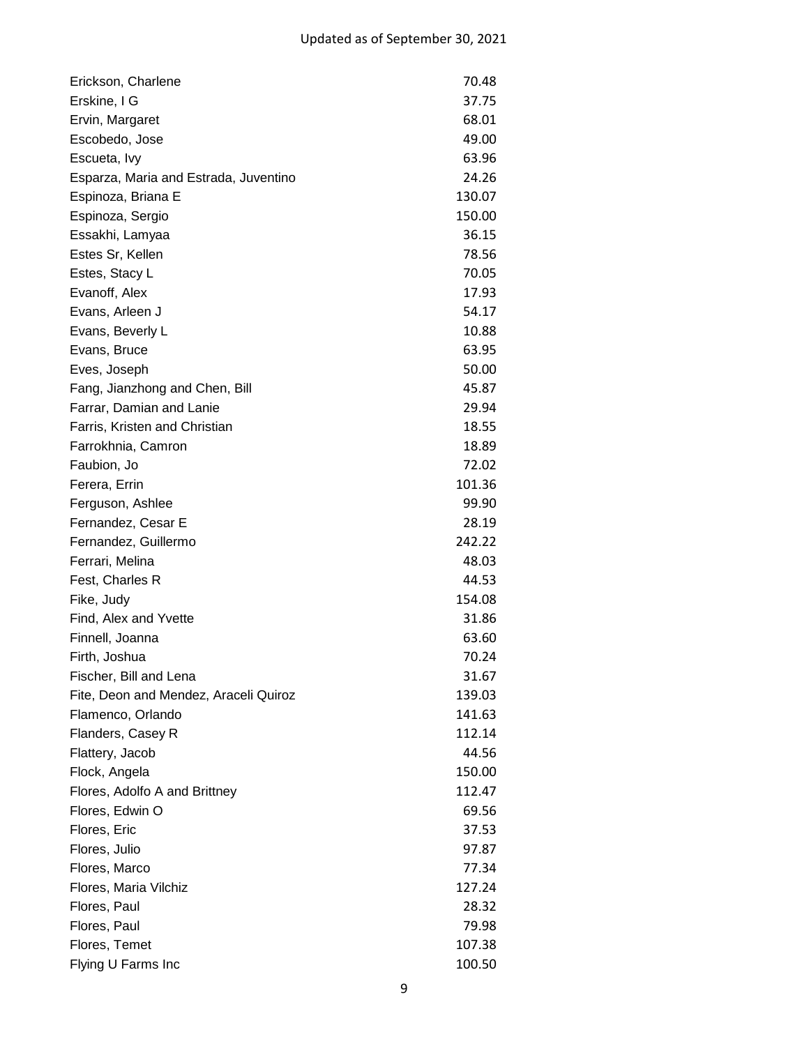| Erickson, Charlene                    | 70.48  |
|---------------------------------------|--------|
| Erskine, I G                          | 37.75  |
| Ervin, Margaret                       | 68.01  |
| Escobedo, Jose                        | 49.00  |
| Escueta, Ivy                          | 63.96  |
| Esparza, Maria and Estrada, Juventino | 24.26  |
| Espinoza, Briana E                    | 130.07 |
| Espinoza, Sergio                      | 150.00 |
| Essakhi, Lamyaa                       | 36.15  |
| Estes Sr, Kellen                      | 78.56  |
| Estes, Stacy L                        | 70.05  |
| Evanoff, Alex                         | 17.93  |
| Evans, Arleen J                       | 54.17  |
| Evans, Beverly L                      | 10.88  |
| Evans, Bruce                          | 63.95  |
| Eves, Joseph                          | 50.00  |
| Fang, Jianzhong and Chen, Bill        | 45.87  |
| Farrar, Damian and Lanie              | 29.94  |
| Farris, Kristen and Christian         | 18.55  |
| Farrokhnia, Camron                    | 18.89  |
| Faubion, Jo                           | 72.02  |
| Ferera, Errin                         | 101.36 |
| Ferguson, Ashlee                      | 99.90  |
| Fernandez, Cesar E                    | 28.19  |
| Fernandez, Guillermo                  | 242.22 |
| Ferrari, Melina                       | 48.03  |
| Fest, Charles R                       | 44.53  |
| Fike, Judy                            | 154.08 |
| Find, Alex and Yvette                 | 31.86  |
| Finnell, Joanna                       | 63.60  |
| Firth, Joshua                         | 70.24  |
| Fischer, Bill and Lena                | 31.67  |
| Fite, Deon and Mendez, Araceli Quiroz | 139.03 |
| Flamenco, Orlando                     | 141.63 |
| Flanders, Casey R                     | 112.14 |
| Flattery, Jacob                       | 44.56  |
| Flock, Angela                         | 150.00 |
| Flores, Adolfo A and Brittney         | 112.47 |
| Flores, Edwin O                       | 69.56  |
| Flores, Eric                          | 37.53  |
| Flores, Julio                         | 97.87  |
| Flores, Marco                         | 77.34  |
| Flores, Maria Vilchiz                 | 127.24 |
| Flores, Paul                          | 28.32  |
| Flores, Paul                          | 79.98  |
| Flores, Temet                         | 107.38 |
| Flying U Farms Inc                    | 100.50 |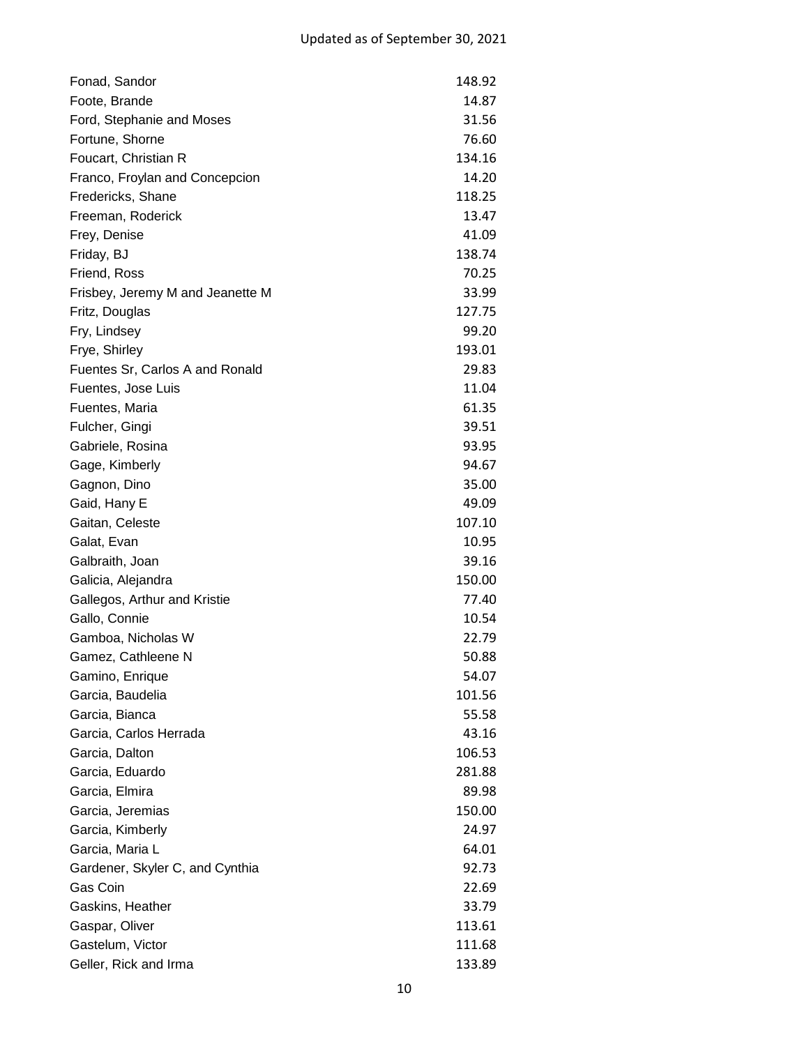| Fonad, Sandor                    | 148.92 |
|----------------------------------|--------|
| Foote, Brande                    | 14.87  |
| Ford, Stephanie and Moses        | 31.56  |
| Fortune, Shorne                  | 76.60  |
| Foucart, Christian R             | 134.16 |
| Franco, Froylan and Concepcion   | 14.20  |
| Fredericks, Shane                | 118.25 |
| Freeman, Roderick                | 13.47  |
| Frey, Denise                     | 41.09  |
| Friday, BJ                       | 138.74 |
| Friend, Ross                     | 70.25  |
| Frisbey, Jeremy M and Jeanette M | 33.99  |
| Fritz, Douglas                   | 127.75 |
| Fry, Lindsey                     | 99.20  |
| Frye, Shirley                    | 193.01 |
| Fuentes Sr, Carlos A and Ronald  | 29.83  |
| Fuentes, Jose Luis               | 11.04  |
| Fuentes, Maria                   | 61.35  |
| Fulcher, Gingi                   | 39.51  |
| Gabriele, Rosina                 | 93.95  |
| Gage, Kimberly                   | 94.67  |
| Gagnon, Dino                     | 35.00  |
| Gaid, Hany E                     | 49.09  |
| Gaitan, Celeste                  | 107.10 |
| Galat, Evan                      | 10.95  |
| Galbraith, Joan                  | 39.16  |
| Galicia, Alejandra               | 150.00 |
| Gallegos, Arthur and Kristie     | 77.40  |
| Gallo, Connie                    | 10.54  |
| Gamboa, Nicholas W               | 22.79  |
| Gamez, Cathleene N               | 50.88  |
| Gamino, Enrique                  | 54.07  |
| Garcia, Baudelia                 | 101.56 |
| Garcia, Bianca                   | 55.58  |
| Garcia, Carlos Herrada           | 43.16  |
| Garcia, Dalton                   | 106.53 |
| Garcia, Eduardo                  | 281.88 |
| Garcia, Elmira                   | 89.98  |
| Garcia, Jeremias                 | 150.00 |
| Garcia, Kimberly                 | 24.97  |
| Garcia, Maria L                  | 64.01  |
| Gardener, Skyler C, and Cynthia  | 92.73  |
| Gas Coin                         | 22.69  |
| Gaskins, Heather                 | 33.79  |
| Gaspar, Oliver                   | 113.61 |
| Gastelum, Victor                 | 111.68 |
| Geller, Rick and Irma            | 133.89 |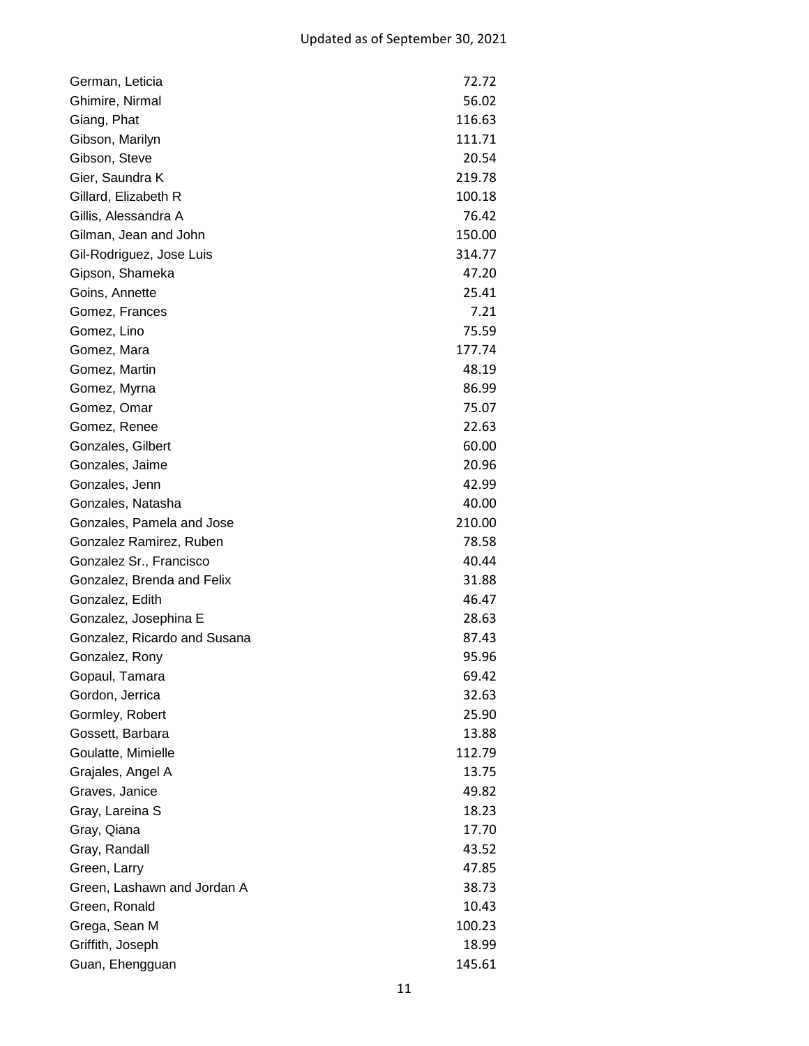| German, Leticia              | 72.72  |
|------------------------------|--------|
| Ghimire, Nirmal              | 56.02  |
| Giang, Phat                  | 116.63 |
| Gibson, Marilyn              | 111.71 |
| Gibson, Steve                | 20.54  |
| Gier, Saundra K              | 219.78 |
| Gillard, Elizabeth R         | 100.18 |
| Gillis, Alessandra A         | 76.42  |
| Gilman, Jean and John        | 150.00 |
| Gil-Rodriguez, Jose Luis     | 314.77 |
| Gipson, Shameka              | 47.20  |
| Goins, Annette               | 25.41  |
| Gomez, Frances               | 7.21   |
| Gomez, Lino                  | 75.59  |
| Gomez, Mara                  | 177.74 |
| Gomez, Martin                | 48.19  |
| Gomez, Myrna                 | 86.99  |
| Gomez, Omar                  | 75.07  |
| Gomez, Renee                 | 22.63  |
| Gonzales, Gilbert            | 60.00  |
| Gonzales, Jaime              | 20.96  |
| Gonzales, Jenn               | 42.99  |
| Gonzales, Natasha            | 40.00  |
| Gonzales, Pamela and Jose    | 210.00 |
| Gonzalez Ramirez, Ruben      | 78.58  |
| Gonzalez Sr., Francisco      | 40.44  |
| Gonzalez, Brenda and Felix   | 31.88  |
| Gonzalez, Edith              | 46.47  |
| Gonzalez, Josephina E        | 28.63  |
| Gonzalez, Ricardo and Susana | 87.43  |
| Gonzalez, Rony               | 95.96  |
| Gopaul, Tamara               | 69.42  |
| Gordon, Jerrica              | 32.63  |
| Gormley, Robert              | 25.90  |
| Gossett, Barbara             | 13.88  |
| Goulatte, Mimielle           | 112.79 |
| Grajales, Angel A            | 13.75  |
| Graves, Janice               | 49.82  |
| Gray, Lareina S              | 18.23  |
| Gray, Qiana                  | 17.70  |
| Gray, Randall                | 43.52  |
| Green, Larry                 | 47.85  |
| Green, Lashawn and Jordan A  | 38.73  |
| Green, Ronald                | 10.43  |
| Grega, Sean M                | 100.23 |
| Griffith, Joseph             | 18.99  |
| Guan, Ehengguan              | 145.61 |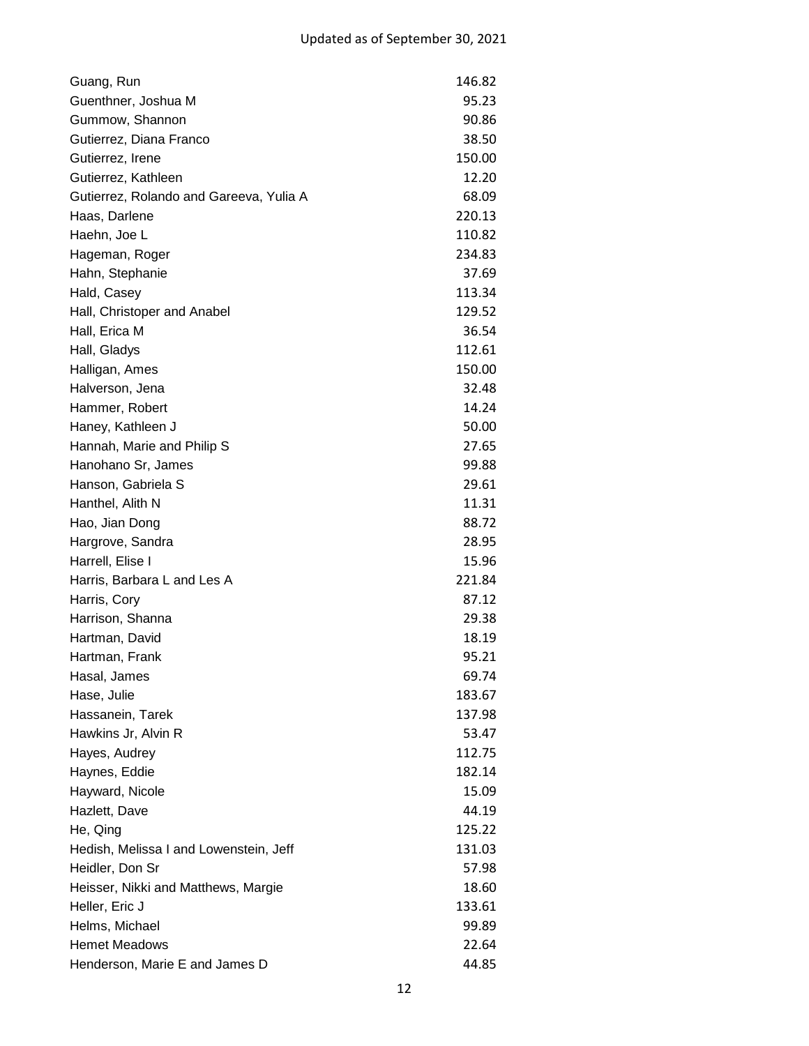| Guang, Run                              | 146.82 |
|-----------------------------------------|--------|
| Guenthner, Joshua M                     | 95.23  |
| Gummow, Shannon                         | 90.86  |
| Gutierrez, Diana Franco                 | 38.50  |
| Gutierrez, Irene                        | 150.00 |
| Gutierrez, Kathleen                     | 12.20  |
| Gutierrez, Rolando and Gareeva, Yulia A | 68.09  |
| Haas, Darlene                           | 220.13 |
| Haehn, Joe L                            | 110.82 |
| Hageman, Roger                          | 234.83 |
| Hahn, Stephanie                         | 37.69  |
| Hald, Casey                             | 113.34 |
| Hall, Christoper and Anabel             | 129.52 |
| Hall, Erica M                           | 36.54  |
| Hall, Gladys                            | 112.61 |
| Halligan, Ames                          | 150.00 |
| Halverson, Jena                         | 32.48  |
| Hammer, Robert                          | 14.24  |
| Haney, Kathleen J                       | 50.00  |
| Hannah, Marie and Philip S              | 27.65  |
| Hanohano Sr, James                      | 99.88  |
| Hanson, Gabriela S                      | 29.61  |
| Hanthel, Alith N                        | 11.31  |
| Hao, Jian Dong                          | 88.72  |
| Hargrove, Sandra                        | 28.95  |
| Harrell, Elise I                        | 15.96  |
| Harris, Barbara L and Les A             | 221.84 |
| Harris, Cory                            | 87.12  |
| Harrison, Shanna                        | 29.38  |
| Hartman, David                          | 18.19  |
| Hartman, Frank                          | 95.21  |
| Hasal, James                            | 69.74  |
| Hase, Julie                             | 183.67 |
| Hassanein, Tarek                        | 137.98 |
| Hawkins Jr, Alvin R                     | 53.47  |
| Hayes, Audrey                           | 112.75 |
| Haynes, Eddie                           | 182.14 |
| Hayward, Nicole                         | 15.09  |
| Hazlett, Dave                           | 44.19  |
| He, Qing                                | 125.22 |
| Hedish, Melissa I and Lowenstein, Jeff  | 131.03 |
| Heidler, Don Sr                         | 57.98  |
| Heisser, Nikki and Matthews, Margie     | 18.60  |
| Heller, Eric J                          | 133.61 |
| Helms, Michael                          | 99.89  |
| <b>Hemet Meadows</b>                    | 22.64  |
| Henderson, Marie E and James D          | 44.85  |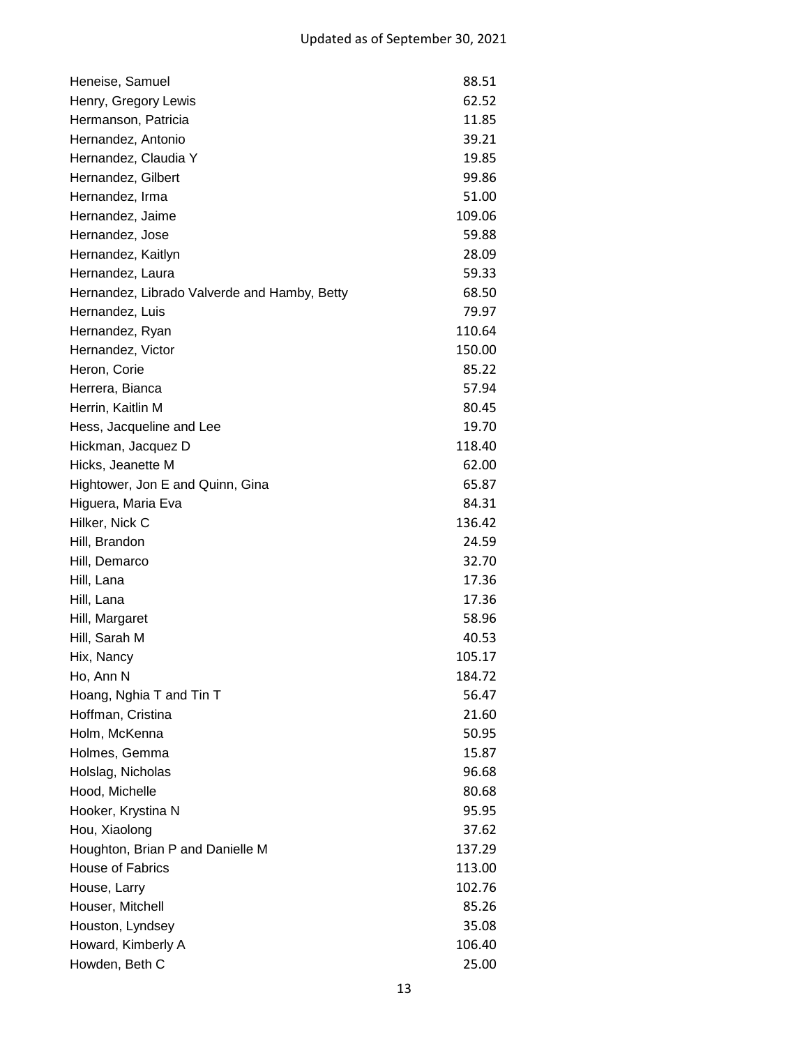| Heneise, Samuel                              | 88.51  |
|----------------------------------------------|--------|
| Henry, Gregory Lewis                         | 62.52  |
| Hermanson, Patricia                          | 11.85  |
| Hernandez, Antonio                           | 39.21  |
| Hernandez, Claudia Y                         | 19.85  |
| Hernandez, Gilbert                           | 99.86  |
| Hernandez, Irma                              | 51.00  |
| Hernandez, Jaime                             | 109.06 |
| Hernandez, Jose                              | 59.88  |
| Hernandez, Kaitlyn                           | 28.09  |
| Hernandez, Laura                             | 59.33  |
| Hernandez, Librado Valverde and Hamby, Betty | 68.50  |
| Hernandez, Luis                              | 79.97  |
| Hernandez, Ryan                              | 110.64 |
| Hernandez, Victor                            | 150.00 |
| Heron, Corie                                 | 85.22  |
| Herrera, Bianca                              | 57.94  |
| Herrin, Kaitlin M                            | 80.45  |
| Hess, Jacqueline and Lee                     | 19.70  |
| Hickman, Jacquez D                           | 118.40 |
| Hicks, Jeanette M                            | 62.00  |
| Hightower, Jon E and Quinn, Gina             | 65.87  |
| Higuera, Maria Eva                           | 84.31  |
| Hilker, Nick C                               | 136.42 |
| Hill, Brandon                                | 24.59  |
| Hill, Demarco                                | 32.70  |
| Hill, Lana                                   | 17.36  |
| Hill, Lana                                   | 17.36  |
| Hill, Margaret                               | 58.96  |
| Hill, Sarah M                                | 40.53  |
| Hix, Nancy                                   | 105.17 |
| Ho, Ann N                                    | 184.72 |
| Hoang, Nghia T and Tin T                     | 56.47  |
| Hoffman, Cristina                            | 21.60  |
| Holm, McKenna                                | 50.95  |
| Holmes, Gemma                                | 15.87  |
| Holslag, Nicholas                            | 96.68  |
| Hood, Michelle                               | 80.68  |
| Hooker, Krystina N                           | 95.95  |
| Hou, Xiaolong                                | 37.62  |
| Houghton, Brian P and Danielle M             | 137.29 |
| House of Fabrics                             | 113.00 |
| House, Larry                                 | 102.76 |
| Houser, Mitchell                             | 85.26  |
| Houston, Lyndsey                             | 35.08  |
| Howard, Kimberly A                           | 106.40 |
| Howden, Beth C                               | 25.00  |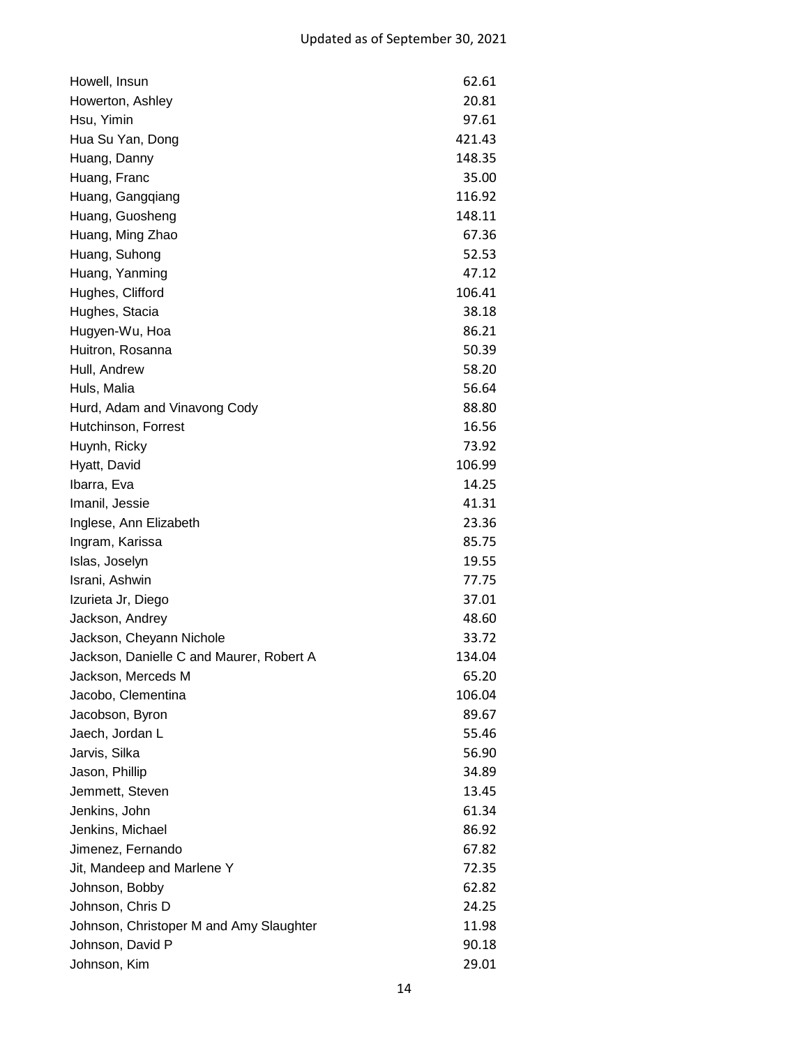| Howell, Insun                            | 62.61  |
|------------------------------------------|--------|
| Howerton, Ashley                         | 20.81  |
| Hsu, Yimin                               | 97.61  |
| Hua Su Yan, Dong                         | 421.43 |
| Huang, Danny                             | 148.35 |
| Huang, Franc                             | 35.00  |
| Huang, Gangqiang                         | 116.92 |
| Huang, Guosheng                          | 148.11 |
| Huang, Ming Zhao                         | 67.36  |
| Huang, Suhong                            | 52.53  |
| Huang, Yanming                           | 47.12  |
| Hughes, Clifford                         | 106.41 |
| Hughes, Stacia                           | 38.18  |
| Hugyen-Wu, Hoa                           | 86.21  |
| Huitron, Rosanna                         | 50.39  |
| Hull, Andrew                             | 58.20  |
| Huls, Malia                              | 56.64  |
| Hurd, Adam and Vinavong Cody             | 88.80  |
| Hutchinson, Forrest                      | 16.56  |
| Huynh, Ricky                             | 73.92  |
| Hyatt, David                             | 106.99 |
| Ibarra, Eva                              | 14.25  |
| Imanil, Jessie                           | 41.31  |
| Inglese, Ann Elizabeth                   | 23.36  |
| Ingram, Karissa                          | 85.75  |
| Islas, Joselyn                           | 19.55  |
| Israni, Ashwin                           | 77.75  |
| Izurieta Jr, Diego                       | 37.01  |
| Jackson, Andrey                          | 48.60  |
| Jackson, Cheyann Nichole                 | 33.72  |
| Jackson, Danielle C and Maurer, Robert A | 134.04 |
| Jackson, Merceds M                       | 65.20  |
| Jacobo, Clementina                       | 106.04 |
| Jacobson, Byron                          | 89.67  |
| Jaech, Jordan L                          | 55.46  |
| Jarvis, Silka                            | 56.90  |
| Jason, Phillip                           | 34.89  |
| Jemmett, Steven                          | 13.45  |
| Jenkins, John                            | 61.34  |
| Jenkins, Michael                         | 86.92  |
| Jimenez, Fernando                        | 67.82  |
| Jit, Mandeep and Marlene Y               | 72.35  |
| Johnson, Bobby                           | 62.82  |
| Johnson, Chris D                         | 24.25  |
| Johnson, Christoper M and Amy Slaughter  | 11.98  |
| Johnson, David P                         | 90.18  |
| Johnson, Kim                             | 29.01  |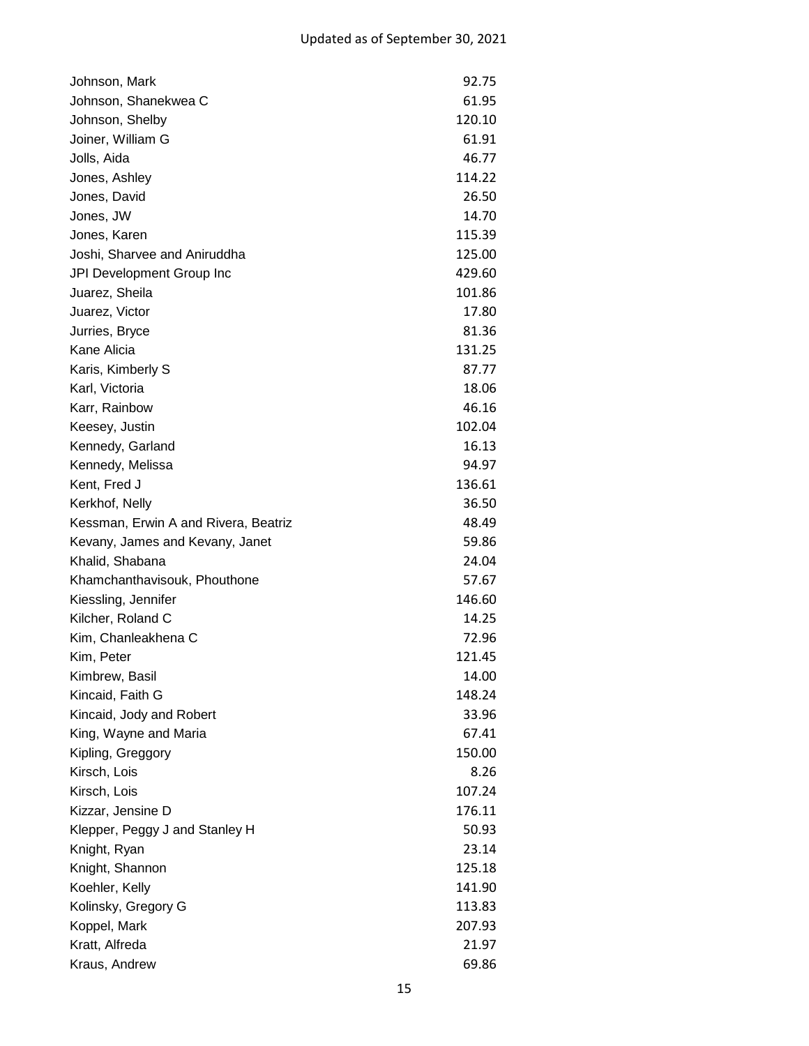| Johnson, Mark                        | 92.75  |
|--------------------------------------|--------|
| Johnson, Shanekwea C                 | 61.95  |
| Johnson, Shelby                      | 120.10 |
| Joiner, William G                    | 61.91  |
| Jolls, Aida                          | 46.77  |
| Jones, Ashley                        | 114.22 |
| Jones, David                         | 26.50  |
| Jones, JW                            | 14.70  |
| Jones, Karen                         | 115.39 |
| Joshi, Sharvee and Aniruddha         | 125.00 |
| JPI Development Group Inc            | 429.60 |
| Juarez, Sheila                       | 101.86 |
| Juarez, Victor                       | 17.80  |
| Jurries, Bryce                       | 81.36  |
| Kane Alicia                          | 131.25 |
| Karis, Kimberly S                    | 87.77  |
| Karl, Victoria                       | 18.06  |
| Karr, Rainbow                        | 46.16  |
| Keesey, Justin                       | 102.04 |
| Kennedy, Garland                     | 16.13  |
| Kennedy, Melissa                     | 94.97  |
| Kent, Fred J                         | 136.61 |
| Kerkhof, Nelly                       | 36.50  |
| Kessman, Erwin A and Rivera, Beatriz | 48.49  |
| Kevany, James and Kevany, Janet      | 59.86  |
| Khalid, Shabana                      | 24.04  |
| Khamchanthavisouk, Phouthone         | 57.67  |
| Kiessling, Jennifer                  | 146.60 |
| Kilcher, Roland C                    | 14.25  |
| Kim, Chanleakhena C                  | 72.96  |
| Kim, Peter                           | 121.45 |
| Kimbrew, Basil                       | 14.00  |
| Kincaid, Faith G                     | 148.24 |
| Kincaid, Jody and Robert             | 33.96  |
| King, Wayne and Maria                | 67.41  |
| Kipling, Greggory                    | 150.00 |
| Kirsch, Lois                         | 8.26   |
| Kirsch, Lois                         | 107.24 |
| Kizzar, Jensine D                    | 176.11 |
| Klepper, Peggy J and Stanley H       | 50.93  |
| Knight, Ryan                         | 23.14  |
| Knight, Shannon                      | 125.18 |
| Koehler, Kelly                       | 141.90 |
| Kolinsky, Gregory G                  | 113.83 |
| Koppel, Mark                         | 207.93 |
| Kratt, Alfreda                       | 21.97  |
| Kraus, Andrew                        | 69.86  |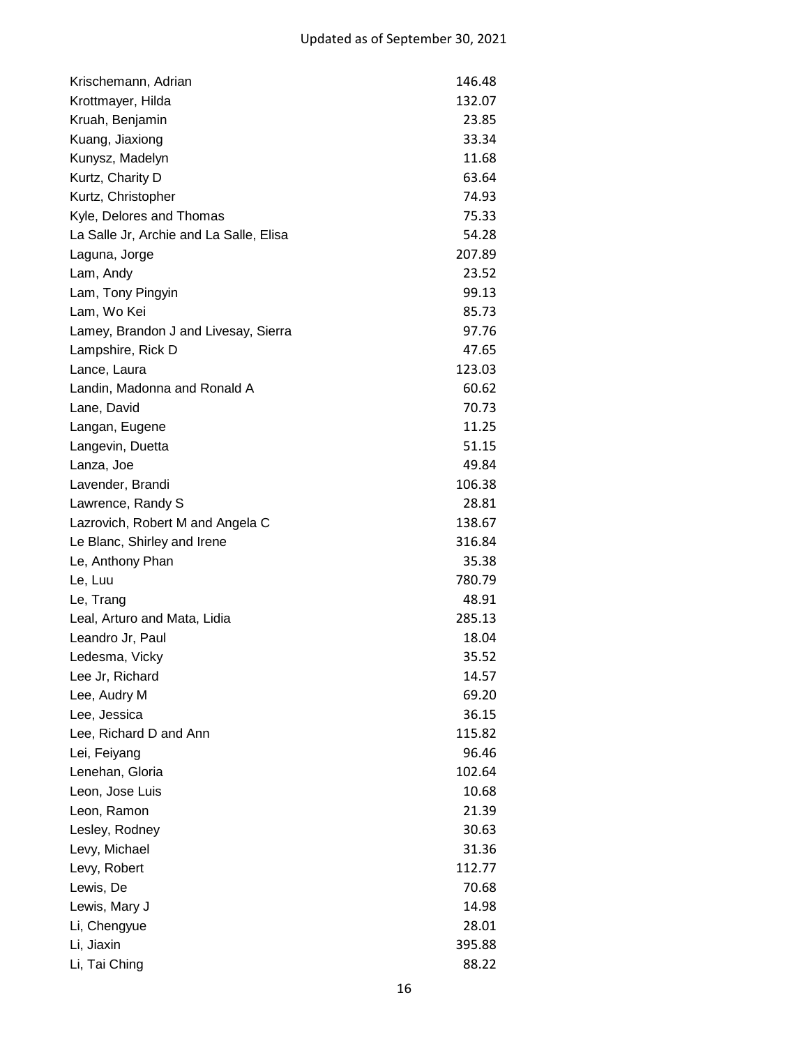| Krischemann, Adrian                     | 146.48 |
|-----------------------------------------|--------|
| Krottmayer, Hilda                       | 132.07 |
| Kruah, Benjamin                         | 23.85  |
| Kuang, Jiaxiong                         | 33.34  |
| Kunysz, Madelyn                         | 11.68  |
| Kurtz, Charity D                        | 63.64  |
| Kurtz, Christopher                      | 74.93  |
| Kyle, Delores and Thomas                | 75.33  |
| La Salle Jr, Archie and La Salle, Elisa | 54.28  |
| Laguna, Jorge                           | 207.89 |
| Lam, Andy                               | 23.52  |
| Lam, Tony Pingyin                       | 99.13  |
| Lam, Wo Kei                             | 85.73  |
| Lamey, Brandon J and Livesay, Sierra    | 97.76  |
| Lampshire, Rick D                       | 47.65  |
| Lance, Laura                            | 123.03 |
| Landin, Madonna and Ronald A            | 60.62  |
| Lane, David                             | 70.73  |
| Langan, Eugene                          | 11.25  |
| Langevin, Duetta                        | 51.15  |
| Lanza, Joe                              | 49.84  |
| Lavender, Brandi                        | 106.38 |
| Lawrence, Randy S                       | 28.81  |
| Lazrovich, Robert M and Angela C        | 138.67 |
| Le Blanc, Shirley and Irene             | 316.84 |
| Le, Anthony Phan                        | 35.38  |
| Le, Luu                                 | 780.79 |
| Le, Trang                               | 48.91  |
| Leal, Arturo and Mata, Lidia            | 285.13 |
| Leandro Jr, Paul                        | 18.04  |
| Ledesma, Vicky                          | 35.52  |
| Lee Jr, Richard                         | 14.57  |
| Lee, Audry M                            | 69.20  |
| Lee, Jessica                            | 36.15  |
| Lee, Richard D and Ann                  | 115.82 |
| Lei, Feiyang                            | 96.46  |
| Lenehan, Gloria                         | 102.64 |
| Leon, Jose Luis                         | 10.68  |
| Leon, Ramon                             | 21.39  |
| Lesley, Rodney                          | 30.63  |
| Levy, Michael                           | 31.36  |
| Levy, Robert                            | 112.77 |
| Lewis, De                               | 70.68  |
| Lewis, Mary J                           | 14.98  |
| Li, Chengyue                            | 28.01  |
| Li, Jiaxin                              | 395.88 |
| Li, Tai Ching                           | 88.22  |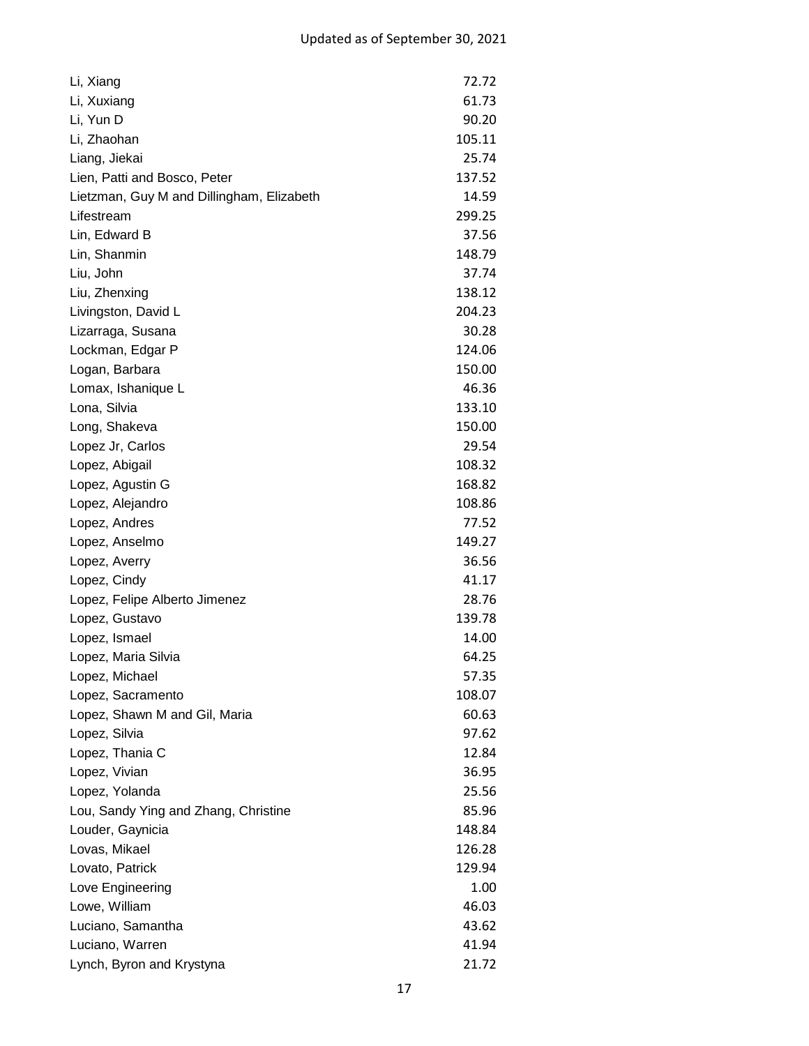| Li, Xiang                                 | 72.72  |
|-------------------------------------------|--------|
| Li, Xuxiang                               | 61.73  |
| Li, Yun D                                 | 90.20  |
| Li, Zhaohan                               | 105.11 |
| Liang, Jiekai                             | 25.74  |
| Lien, Patti and Bosco, Peter              | 137.52 |
| Lietzman, Guy M and Dillingham, Elizabeth | 14.59  |
| Lifestream                                | 299.25 |
| Lin, Edward B                             | 37.56  |
| Lin, Shanmin                              | 148.79 |
| Liu, John                                 | 37.74  |
| Liu, Zhenxing                             | 138.12 |
| Livingston, David L                       | 204.23 |
| Lizarraga, Susana                         | 30.28  |
| Lockman, Edgar P                          | 124.06 |
| Logan, Barbara                            | 150.00 |
| Lomax, Ishanique L                        | 46.36  |
| Lona, Silvia                              | 133.10 |
| Long, Shakeva                             | 150.00 |
| Lopez Jr, Carlos                          | 29.54  |
| Lopez, Abigail                            | 108.32 |
| Lopez, Agustin G                          | 168.82 |
| Lopez, Alejandro                          | 108.86 |
| Lopez, Andres                             | 77.52  |
| Lopez, Anselmo                            | 149.27 |
| Lopez, Averry                             | 36.56  |
| Lopez, Cindy                              | 41.17  |
| Lopez, Felipe Alberto Jimenez             | 28.76  |
| Lopez, Gustavo                            | 139.78 |
| Lopez, Ismael                             | 14.00  |
| Lopez, Maria Silvia                       | 64.25  |
| Lopez, Michael                            | 57.35  |
| Lopez, Sacramento                         | 108.07 |
| Lopez, Shawn M and Gil, Maria             | 60.63  |
| Lopez, Silvia                             | 97.62  |
| Lopez, Thania C                           | 12.84  |
| Lopez, Vivian                             | 36.95  |
| Lopez, Yolanda                            | 25.56  |
| Lou, Sandy Ying and Zhang, Christine      | 85.96  |
| Louder, Gaynicia                          | 148.84 |
| Lovas, Mikael                             | 126.28 |
| Lovato, Patrick                           | 129.94 |
| Love Engineering                          | 1.00   |
| Lowe, William                             | 46.03  |
| Luciano, Samantha                         | 43.62  |
| Luciano, Warren                           | 41.94  |
| Lynch, Byron and Krystyna                 | 21.72  |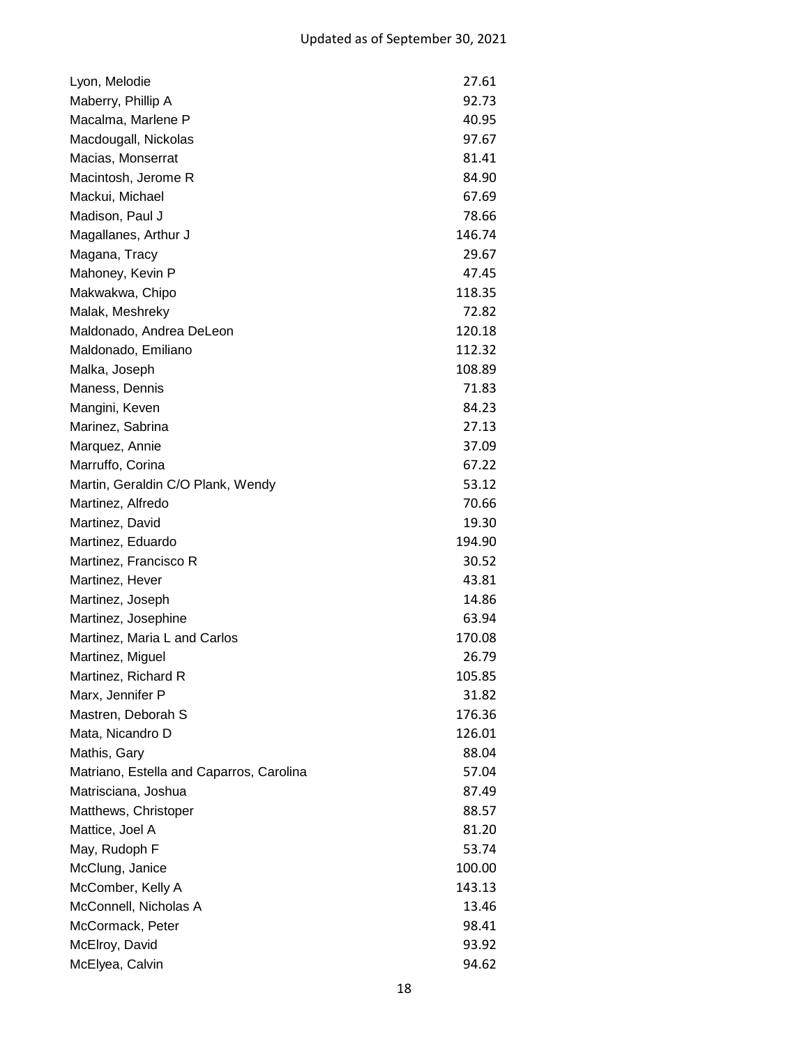| Lyon, Melodie                            | 27.61  |
|------------------------------------------|--------|
| Maberry, Phillip A                       | 92.73  |
| Macalma, Marlene P                       | 40.95  |
| Macdougall, Nickolas                     | 97.67  |
| Macias, Monserrat                        | 81.41  |
| Macintosh, Jerome R                      | 84.90  |
| Mackui, Michael                          | 67.69  |
| Madison, Paul J                          | 78.66  |
| Magallanes, Arthur J                     | 146.74 |
| Magana, Tracy                            | 29.67  |
| Mahoney, Kevin P                         | 47.45  |
| Makwakwa, Chipo                          | 118.35 |
| Malak, Meshreky                          | 72.82  |
| Maldonado, Andrea DeLeon                 | 120.18 |
| Maldonado, Emiliano                      | 112.32 |
| Malka, Joseph                            | 108.89 |
| Maness, Dennis                           | 71.83  |
| Mangini, Keven                           | 84.23  |
| Marinez, Sabrina                         | 27.13  |
| Marquez, Annie                           | 37.09  |
| Marruffo, Corina                         | 67.22  |
| Martin, Geraldin C/O Plank, Wendy        | 53.12  |
| Martinez, Alfredo                        | 70.66  |
| Martinez, David                          | 19.30  |
| Martinez, Eduardo                        | 194.90 |
| Martinez, Francisco R                    | 30.52  |
| Martinez, Hever                          | 43.81  |
| Martinez, Joseph                         | 14.86  |
| Martinez, Josephine                      | 63.94  |
| Martinez, Maria L and Carlos             | 170.08 |
| Martinez, Miguel                         | 26.79  |
| Martinez, Richard R                      | 105.85 |
| Marx, Jennifer P                         | 31.82  |
| Mastren, Deborah S                       | 176.36 |
| Mata, Nicandro D                         | 126.01 |
| Mathis, Gary                             | 88.04  |
| Matriano, Estella and Caparros, Carolina | 57.04  |
| Matrisciana, Joshua                      | 87.49  |
| Matthews, Christoper                     | 88.57  |
| Mattice, Joel A                          | 81.20  |
| May, Rudoph F                            | 53.74  |
| McClung, Janice                          | 100.00 |
| McComber, Kelly A                        | 143.13 |
| McConnell, Nicholas A                    | 13.46  |
| McCormack, Peter                         | 98.41  |
| McElroy, David                           | 93.92  |
| McElyea, Calvin                          | 94.62  |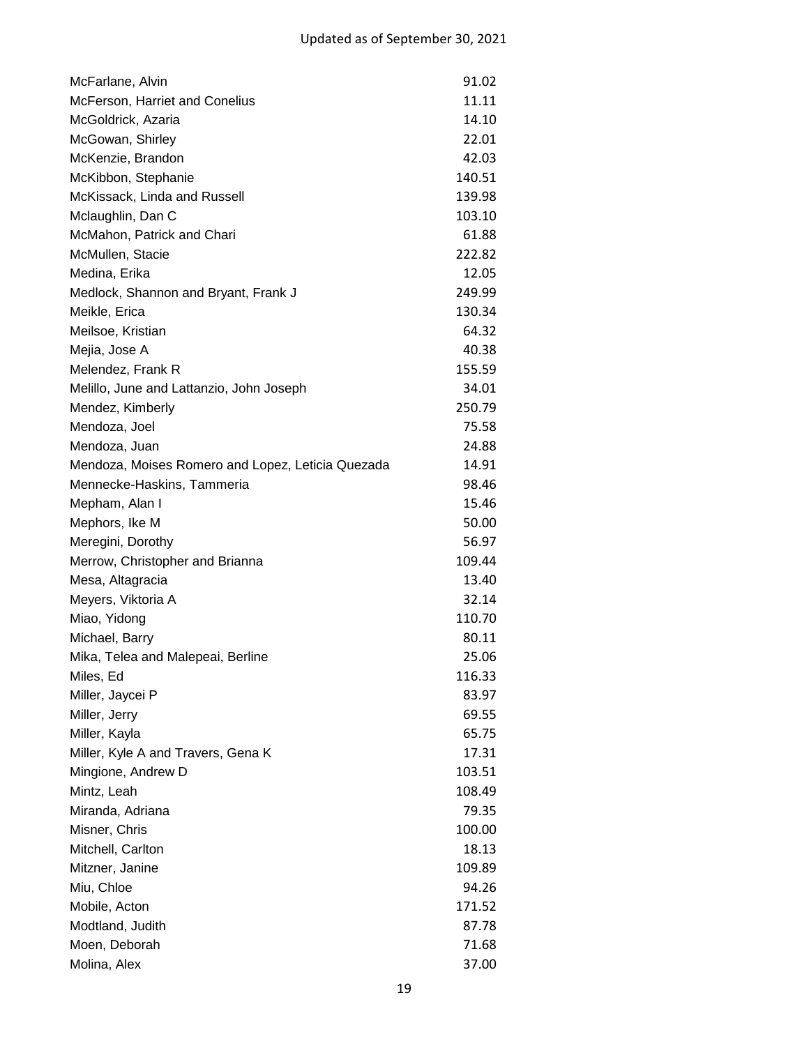| McFarlane, Alvin                                  | 91.02  |
|---------------------------------------------------|--------|
| McFerson, Harriet and Conelius                    | 11.11  |
| McGoldrick, Azaria                                | 14.10  |
| McGowan, Shirley                                  | 22.01  |
| McKenzie, Brandon                                 | 42.03  |
| McKibbon, Stephanie                               | 140.51 |
| McKissack, Linda and Russell                      | 139.98 |
| Mclaughlin, Dan C                                 | 103.10 |
| McMahon, Patrick and Chari                        | 61.88  |
| McMullen, Stacie                                  | 222.82 |
| Medina, Erika                                     | 12.05  |
| Medlock, Shannon and Bryant, Frank J              | 249.99 |
| Meikle, Erica                                     | 130.34 |
| Meilsoe, Kristian                                 | 64.32  |
| Mejia, Jose A                                     | 40.38  |
| Melendez, Frank R                                 | 155.59 |
| Melillo, June and Lattanzio, John Joseph          | 34.01  |
| Mendez, Kimberly                                  | 250.79 |
| Mendoza, Joel                                     | 75.58  |
| Mendoza, Juan                                     | 24.88  |
| Mendoza, Moises Romero and Lopez, Leticia Quezada | 14.91  |
| Mennecke-Haskins, Tammeria                        | 98.46  |
| Mepham, Alan I                                    | 15.46  |
| Mephors, Ike M                                    | 50.00  |
| Meregini, Dorothy                                 | 56.97  |
| Merrow, Christopher and Brianna                   | 109.44 |
| Mesa, Altagracia                                  | 13.40  |
| Meyers, Viktoria A                                | 32.14  |
| Miao, Yidong                                      | 110.70 |
| Michael, Barry                                    | 80.11  |
| Mika, Telea and Malepeai, Berline                 | 25.06  |
| Miles, Ed                                         | 116.33 |
| Miller, Jaycei P                                  | 83.97  |
| Miller, Jerry                                     | 69.55  |
| Miller, Kayla                                     | 65.75  |
| Miller, Kyle A and Travers, Gena K                | 17.31  |
| Mingione, Andrew D                                | 103.51 |
| Mintz, Leah                                       | 108.49 |
| Miranda, Adriana                                  | 79.35  |
| Misner, Chris                                     | 100.00 |
| Mitchell, Carlton                                 | 18.13  |
| Mitzner, Janine                                   | 109.89 |
| Miu, Chloe                                        | 94.26  |
| Mobile, Acton                                     | 171.52 |
| Modtland, Judith                                  | 87.78  |
| Moen, Deborah                                     | 71.68  |
| Molina, Alex                                      | 37.00  |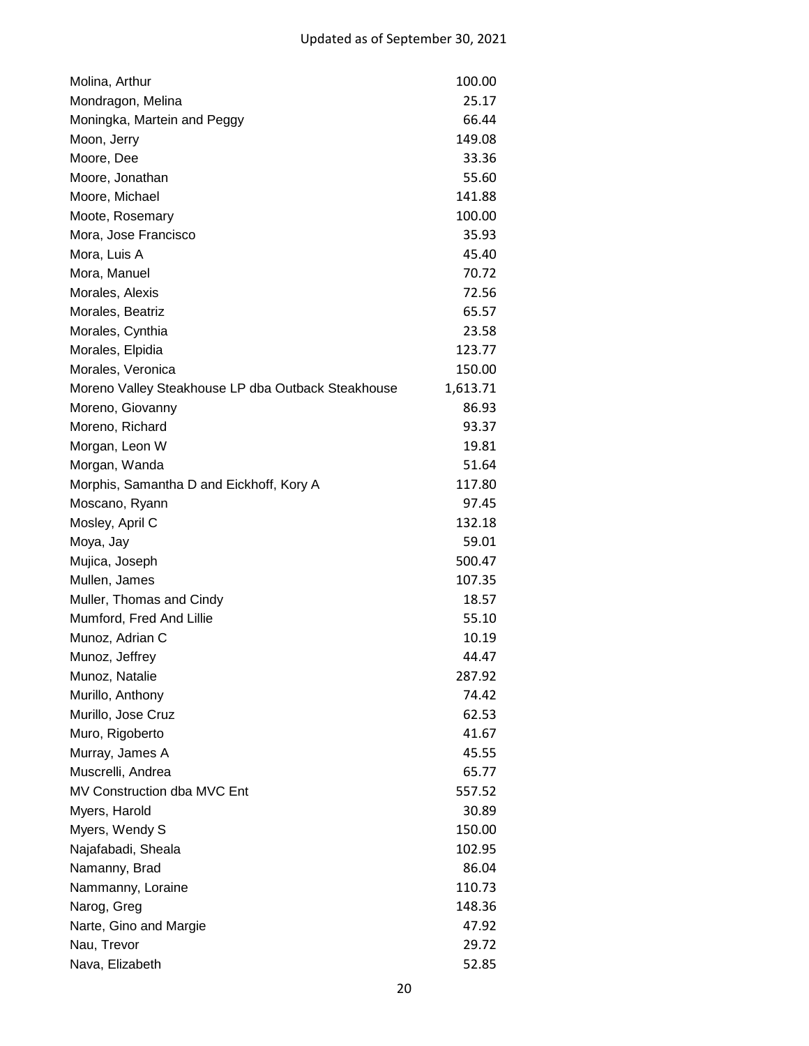| Molina, Arthur                                     | 100.00   |
|----------------------------------------------------|----------|
| Mondragon, Melina                                  | 25.17    |
| Moningka, Martein and Peggy                        | 66.44    |
| Moon, Jerry                                        | 149.08   |
| Moore, Dee                                         | 33.36    |
| Moore, Jonathan                                    | 55.60    |
| Moore, Michael                                     | 141.88   |
| Moote, Rosemary                                    | 100.00   |
| Mora, Jose Francisco                               | 35.93    |
| Mora, Luis A                                       | 45.40    |
| Mora, Manuel                                       | 70.72    |
| Morales, Alexis                                    | 72.56    |
| Morales, Beatriz                                   | 65.57    |
| Morales, Cynthia                                   | 23.58    |
| Morales, Elpidia                                   | 123.77   |
| Morales, Veronica                                  | 150.00   |
| Moreno Valley Steakhouse LP dba Outback Steakhouse | 1,613.71 |
| Moreno, Giovanny                                   | 86.93    |
| Moreno, Richard                                    | 93.37    |
| Morgan, Leon W                                     | 19.81    |
| Morgan, Wanda                                      | 51.64    |
| Morphis, Samantha D and Eickhoff, Kory A           | 117.80   |
| Moscano, Ryann                                     | 97.45    |
| Mosley, April C                                    | 132.18   |
| Moya, Jay                                          | 59.01    |
| Mujica, Joseph                                     | 500.47   |
| Mullen, James                                      | 107.35   |
| Muller, Thomas and Cindy                           | 18.57    |
| Mumford, Fred And Lillie                           | 55.10    |
| Munoz, Adrian C                                    | 10.19    |
| Munoz, Jeffrey                                     | 44.47    |
| Munoz, Natalie                                     | 287.92   |
| Murillo, Anthony                                   | 74.42    |
| Murillo, Jose Cruz                                 | 62.53    |
| Muro, Rigoberto                                    | 41.67    |
| Murray, James A                                    | 45.55    |
| Muscrelli, Andrea                                  | 65.77    |
| MV Construction dba MVC Ent                        | 557.52   |
| Myers, Harold                                      | 30.89    |
| Myers, Wendy S                                     | 150.00   |
| Najafabadi, Sheala                                 | 102.95   |
| Namanny, Brad                                      | 86.04    |
| Nammanny, Loraine                                  | 110.73   |
| Narog, Greg                                        | 148.36   |
| Narte, Gino and Margie                             | 47.92    |
| Nau, Trevor                                        | 29.72    |
| Nava, Elizabeth                                    | 52.85    |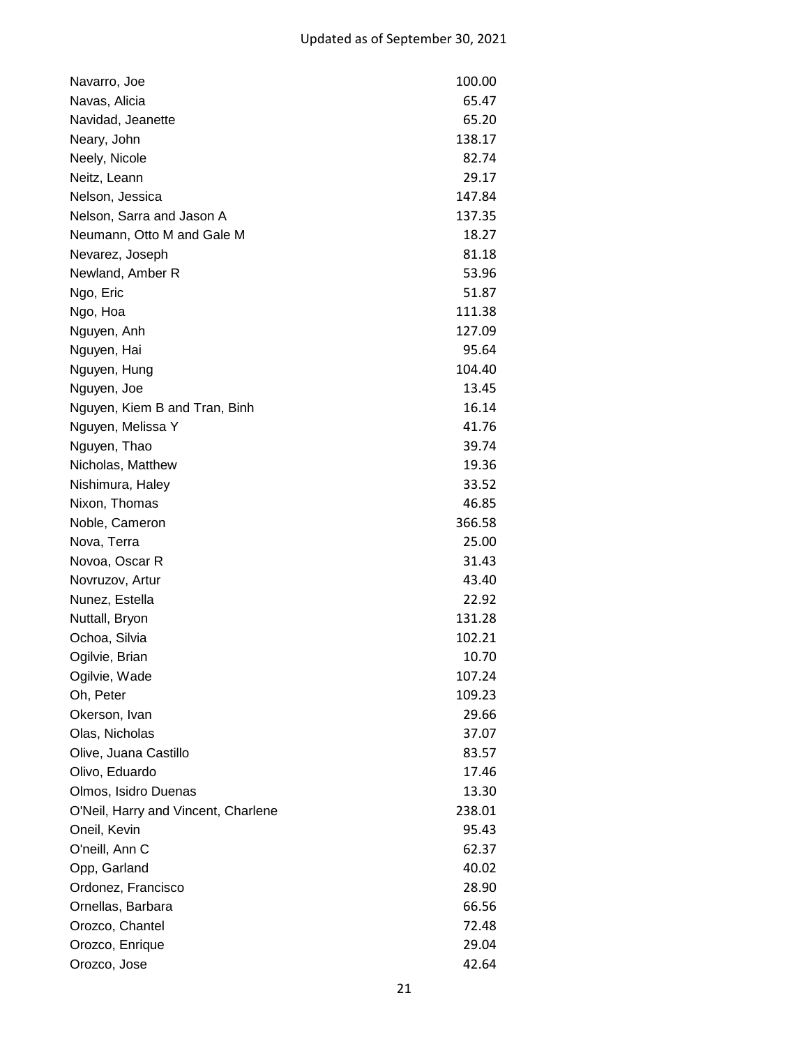| Navarro, Joe                        | 100.00 |
|-------------------------------------|--------|
| Navas, Alicia                       | 65.47  |
| Navidad, Jeanette                   | 65.20  |
| Neary, John                         | 138.17 |
| Neely, Nicole                       | 82.74  |
| Neitz, Leann                        | 29.17  |
| Nelson, Jessica                     | 147.84 |
| Nelson, Sarra and Jason A           | 137.35 |
| Neumann, Otto M and Gale M          | 18.27  |
| Nevarez, Joseph                     | 81.18  |
| Newland, Amber R                    | 53.96  |
| Ngo, Eric                           | 51.87  |
| Ngo, Hoa                            | 111.38 |
| Nguyen, Anh                         | 127.09 |
| Nguyen, Hai                         | 95.64  |
| Nguyen, Hung                        | 104.40 |
| Nguyen, Joe                         | 13.45  |
| Nguyen, Kiem B and Tran, Binh       | 16.14  |
| Nguyen, Melissa Y                   | 41.76  |
| Nguyen, Thao                        | 39.74  |
| Nicholas, Matthew                   | 19.36  |
| Nishimura, Haley                    | 33.52  |
| Nixon, Thomas                       | 46.85  |
| Noble, Cameron                      | 366.58 |
| Nova, Terra                         | 25.00  |
| Novoa, Oscar R                      | 31.43  |
| Novruzov, Artur                     | 43.40  |
| Nunez, Estella                      | 22.92  |
| Nuttall, Bryon                      | 131.28 |
| Ochoa, Silvia                       | 102.21 |
| Ogilvie, Brian                      | 10.70  |
| Ogilvie, Wade                       | 107.24 |
| Oh, Peter                           | 109.23 |
| Okerson, Ivan                       | 29.66  |
| Olas, Nicholas                      | 37.07  |
| Olive, Juana Castillo               | 83.57  |
| Olivo, Eduardo                      | 17.46  |
| Olmos, Isidro Duenas                | 13.30  |
| O'Neil, Harry and Vincent, Charlene | 238.01 |
| Oneil, Kevin                        | 95.43  |
| O'neill, Ann C                      | 62.37  |
| Opp, Garland                        | 40.02  |
| Ordonez, Francisco                  | 28.90  |
| Ornellas, Barbara                   | 66.56  |
| Orozco, Chantel                     | 72.48  |
| Orozco, Enrique                     | 29.04  |
| Orozco, Jose                        | 42.64  |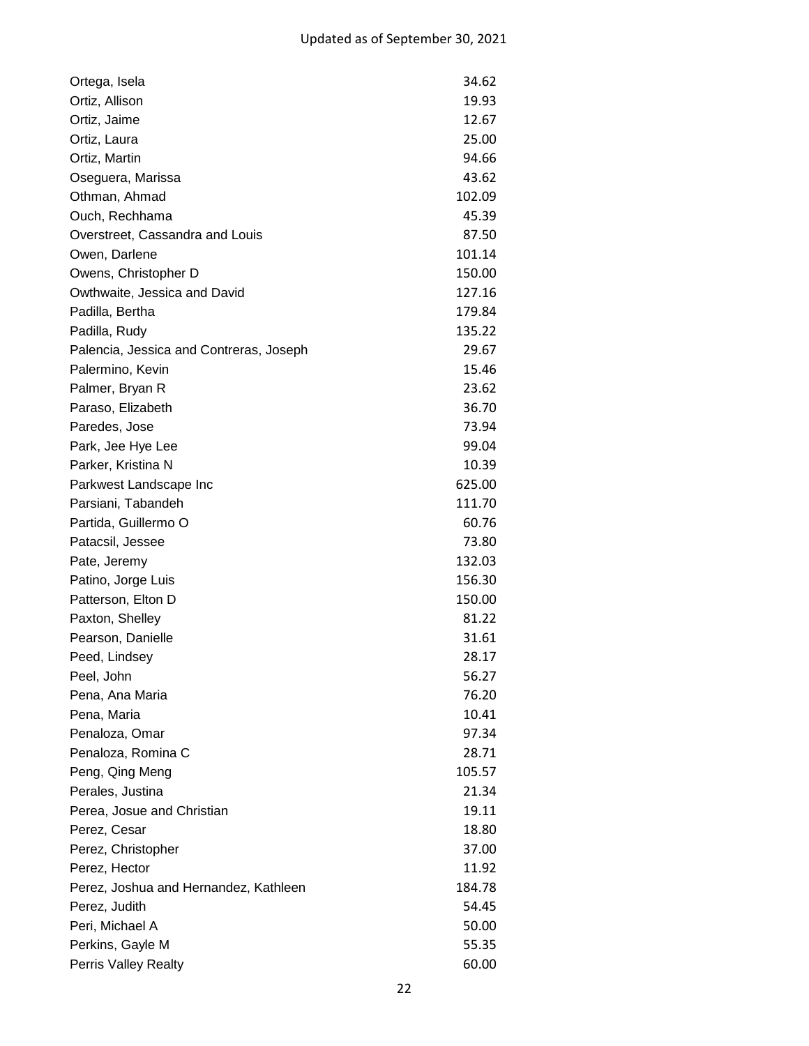| Ortega, Isela                           | 34.62  |
|-----------------------------------------|--------|
| Ortiz, Allison                          | 19.93  |
| Ortiz, Jaime                            | 12.67  |
| Ortiz, Laura                            | 25.00  |
| Ortiz, Martin                           | 94.66  |
| Oseguera, Marissa                       | 43.62  |
| Othman, Ahmad                           | 102.09 |
| Ouch, Rechhama                          | 45.39  |
| Overstreet, Cassandra and Louis         | 87.50  |
| Owen, Darlene                           | 101.14 |
| Owens, Christopher D                    | 150.00 |
| Owthwaite, Jessica and David            | 127.16 |
| Padilla, Bertha                         | 179.84 |
| Padilla, Rudy                           | 135.22 |
| Palencia, Jessica and Contreras, Joseph | 29.67  |
| Palermino, Kevin                        | 15.46  |
| Palmer, Bryan R                         | 23.62  |
| Paraso, Elizabeth                       | 36.70  |
| Paredes, Jose                           | 73.94  |
| Park, Jee Hye Lee                       | 99.04  |
| Parker, Kristina N                      | 10.39  |
| Parkwest Landscape Inc                  | 625.00 |
| Parsiani, Tabandeh                      | 111.70 |
| Partida, Guillermo O                    | 60.76  |
| Patacsil, Jessee                        | 73.80  |
| Pate, Jeremy                            | 132.03 |
| Patino, Jorge Luis                      | 156.30 |
| Patterson, Elton D                      | 150.00 |
| Paxton, Shelley                         | 81.22  |
| Pearson, Danielle                       | 31.61  |
| Peed, Lindsey                           | 28.17  |
| Peel, John                              | 56.27  |
| Pena, Ana Maria                         | 76.20  |
| Pena, Maria                             | 10.41  |
| Penaloza, Omar                          | 97.34  |
| Penaloza, Romina C                      | 28.71  |
| Peng, Qing Meng                         | 105.57 |
| Perales, Justina                        | 21.34  |
| Perea, Josue and Christian              | 19.11  |
| Perez, Cesar                            | 18.80  |
| Perez, Christopher                      | 37.00  |
| Perez, Hector                           | 11.92  |
| Perez, Joshua and Hernandez, Kathleen   | 184.78 |
| Perez, Judith                           | 54.45  |
| Peri, Michael A                         | 50.00  |
| Perkins, Gayle M                        | 55.35  |
| <b>Perris Valley Realty</b>             | 60.00  |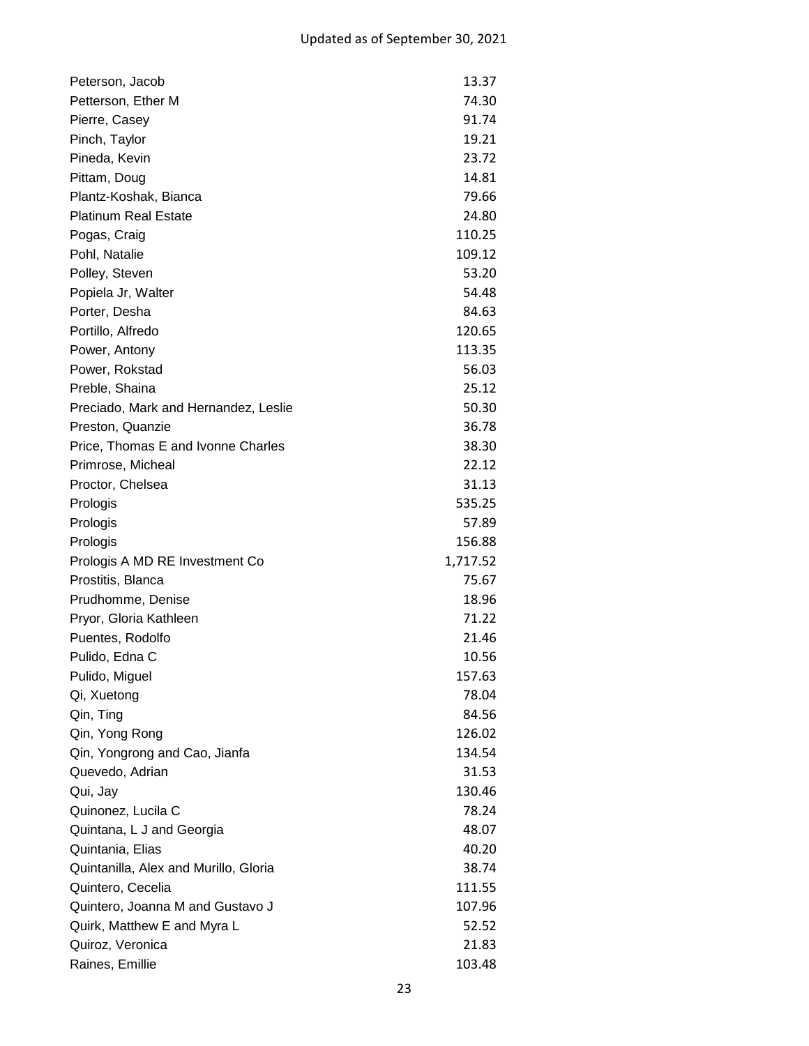| Peterson, Jacob                       | 13.37    |
|---------------------------------------|----------|
| Petterson, Ether M                    | 74.30    |
| Pierre, Casey                         | 91.74    |
| Pinch, Taylor                         | 19.21    |
| Pineda, Kevin                         | 23.72    |
| Pittam, Doug                          | 14.81    |
| Plantz-Koshak, Bianca                 | 79.66    |
| <b>Platinum Real Estate</b>           | 24.80    |
| Pogas, Craig                          | 110.25   |
| Pohl, Natalie                         | 109.12   |
| Polley, Steven                        | 53.20    |
| Popiela Jr, Walter                    | 54.48    |
| Porter, Desha                         | 84.63    |
| Portillo, Alfredo                     | 120.65   |
| Power, Antony                         | 113.35   |
| Power, Rokstad                        | 56.03    |
| Preble, Shaina                        | 25.12    |
| Preciado, Mark and Hernandez, Leslie  | 50.30    |
| Preston, Quanzie                      | 36.78    |
| Price, Thomas E and Ivonne Charles    | 38.30    |
| Primrose, Micheal                     | 22.12    |
| Proctor, Chelsea                      | 31.13    |
| Prologis                              | 535.25   |
| Prologis                              | 57.89    |
| Prologis                              | 156.88   |
| Prologis A MD RE Investment Co        | 1,717.52 |
| Prostitis, Blanca                     | 75.67    |
| Prudhomme, Denise                     | 18.96    |
| Pryor, Gloria Kathleen                | 71.22    |
| Puentes, Rodolfo                      | 21.46    |
| Pulido, Edna C                        | 10.56    |
| Pulido, Miguel                        | 157.63   |
| Qi, Xuetong                           | 78.04    |
| Qin, Ting                             | 84.56    |
| Qin, Yong Rong                        | 126.02   |
| Qin, Yongrong and Cao, Jianfa         | 134.54   |
| Quevedo, Adrian                       | 31.53    |
| Qui, Jay                              | 130.46   |
| Quinonez, Lucila C                    | 78.24    |
| Quintana, L J and Georgia             | 48.07    |
| Quintania, Elias                      | 40.20    |
| Quintanilla, Alex and Murillo, Gloria | 38.74    |
| Quintero, Cecelia                     | 111.55   |
| Quintero, Joanna M and Gustavo J      | 107.96   |
| Quirk, Matthew E and Myra L           | 52.52    |
| Quiroz, Veronica                      | 21.83    |
| Raines, Emillie                       | 103.48   |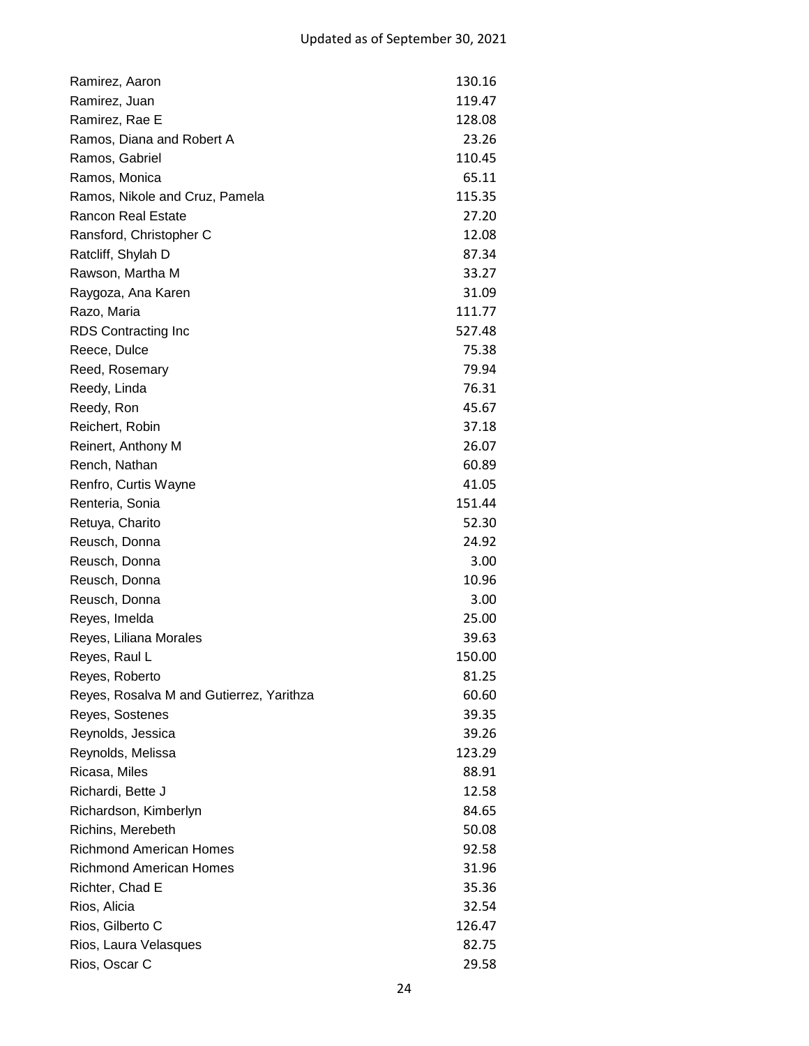| Ramirez, Aaron                           | 130.16 |
|------------------------------------------|--------|
| Ramirez, Juan                            | 119.47 |
| Ramirez, Rae E                           | 128.08 |
| Ramos, Diana and Robert A                | 23.26  |
| Ramos, Gabriel                           | 110.45 |
| Ramos, Monica                            | 65.11  |
| Ramos, Nikole and Cruz, Pamela           | 115.35 |
| <b>Rancon Real Estate</b>                | 27.20  |
| Ransford, Christopher C                  | 12.08  |
| Ratcliff, Shylah D                       | 87.34  |
| Rawson, Martha M                         | 33.27  |
| Raygoza, Ana Karen                       | 31.09  |
| Razo, Maria                              | 111.77 |
| RDS Contracting Inc                      | 527.48 |
| Reece, Dulce                             | 75.38  |
| Reed, Rosemary                           | 79.94  |
| Reedy, Linda                             | 76.31  |
| Reedy, Ron                               | 45.67  |
| Reichert, Robin                          | 37.18  |
| Reinert, Anthony M                       | 26.07  |
| Rench, Nathan                            | 60.89  |
| Renfro, Curtis Wayne                     | 41.05  |
| Renteria, Sonia                          | 151.44 |
| Retuya, Charito                          | 52.30  |
| Reusch, Donna                            | 24.92  |
| Reusch, Donna                            | 3.00   |
| Reusch, Donna                            | 10.96  |
| Reusch, Donna                            | 3.00   |
| Reyes, Imelda                            | 25.00  |
| Reyes, Liliana Morales                   | 39.63  |
| Reyes, Raul L                            | 150.00 |
| Reyes, Roberto                           | 81.25  |
| Reyes, Rosalva M and Gutierrez, Yarithza | 60.60  |
| Reyes, Sostenes                          | 39.35  |
| Reynolds, Jessica                        | 39.26  |
| Reynolds, Melissa                        | 123.29 |
| Ricasa, Miles                            | 88.91  |
| Richardi, Bette J                        | 12.58  |
| Richardson, Kimberlyn                    | 84.65  |
| Richins, Merebeth                        | 50.08  |
| <b>Richmond American Homes</b>           | 92.58  |
| <b>Richmond American Homes</b>           | 31.96  |
| Richter, Chad E                          | 35.36  |
| Rios, Alicia                             | 32.54  |
| Rios, Gilberto C                         | 126.47 |
| Rios, Laura Velasques                    | 82.75  |
| Rios, Oscar C                            | 29.58  |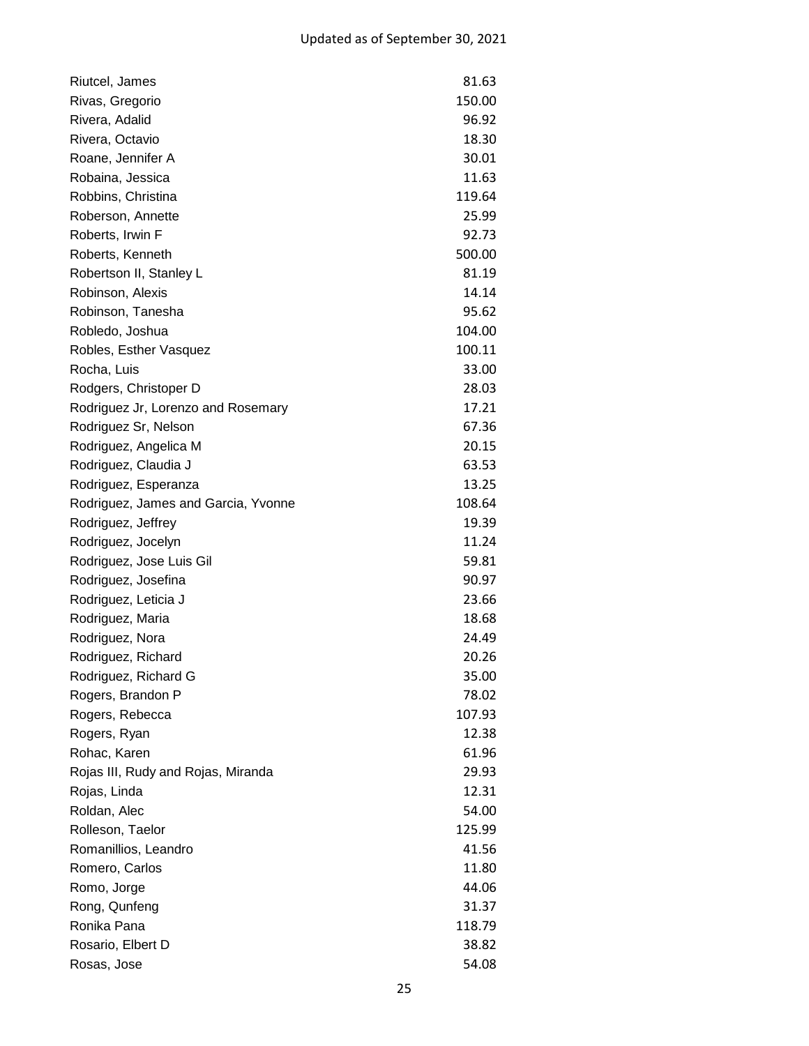| Riutcel, James                      | 81.63  |
|-------------------------------------|--------|
| Rivas, Gregorio                     | 150.00 |
| Rivera, Adalid                      | 96.92  |
| Rivera, Octavio                     | 18.30  |
| Roane, Jennifer A                   | 30.01  |
| Robaina, Jessica                    | 11.63  |
| Robbins, Christina                  | 119.64 |
| Roberson, Annette                   | 25.99  |
| Roberts, Irwin F                    | 92.73  |
| Roberts, Kenneth                    | 500.00 |
| Robertson II, Stanley L             | 81.19  |
| Robinson, Alexis                    | 14.14  |
| Robinson, Tanesha                   | 95.62  |
| Robledo, Joshua                     | 104.00 |
| Robles, Esther Vasquez              | 100.11 |
| Rocha, Luis                         | 33.00  |
| Rodgers, Christoper D               | 28.03  |
| Rodriguez Jr, Lorenzo and Rosemary  | 17.21  |
| Rodriguez Sr, Nelson                | 67.36  |
| Rodriguez, Angelica M               | 20.15  |
| Rodriguez, Claudia J                | 63.53  |
| Rodriguez, Esperanza                | 13.25  |
| Rodriguez, James and Garcia, Yvonne | 108.64 |
| Rodriguez, Jeffrey                  | 19.39  |
| Rodriguez, Jocelyn                  | 11.24  |
| Rodriguez, Jose Luis Gil            | 59.81  |
| Rodriguez, Josefina                 | 90.97  |
| Rodriguez, Leticia J                | 23.66  |
| Rodriguez, Maria                    | 18.68  |
| Rodriguez, Nora                     | 24.49  |
| Rodriguez, Richard                  | 20.26  |
| Rodriguez, Richard G                | 35.00  |
| Rogers, Brandon P                   | 78.02  |
| Rogers, Rebecca                     | 107.93 |
| Rogers, Ryan                        | 12.38  |
| Rohac, Karen                        | 61.96  |
| Rojas III, Rudy and Rojas, Miranda  | 29.93  |
| Rojas, Linda                        | 12.31  |
| Roldan, Alec                        | 54.00  |
| Rolleson, Taelor                    | 125.99 |
| Romanillios, Leandro                | 41.56  |
| Romero, Carlos                      | 11.80  |
| Romo, Jorge                         | 44.06  |
| Rong, Qunfeng                       | 31.37  |
| Ronika Pana                         | 118.79 |
| Rosario, Elbert D                   | 38.82  |
| Rosas, Jose                         | 54.08  |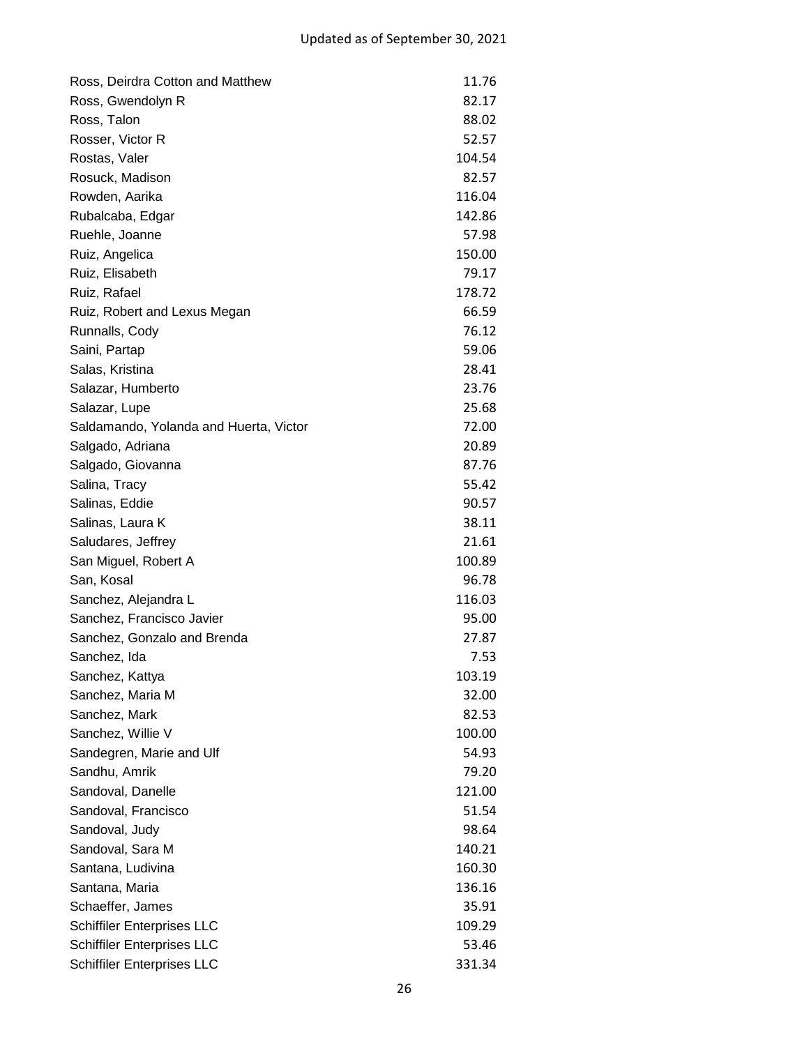| Ross, Deirdra Cotton and Matthew       | 11.76  |
|----------------------------------------|--------|
| Ross, Gwendolyn R                      | 82.17  |
| Ross, Talon                            | 88.02  |
| Rosser, Victor R                       | 52.57  |
| Rostas, Valer                          | 104.54 |
| Rosuck, Madison                        | 82.57  |
| Rowden, Aarika                         | 116.04 |
| Rubalcaba, Edgar                       | 142.86 |
| Ruehle, Joanne                         | 57.98  |
| Ruiz, Angelica                         | 150.00 |
| Ruiz, Elisabeth                        | 79.17  |
| Ruiz, Rafael                           | 178.72 |
| Ruiz, Robert and Lexus Megan           | 66.59  |
| Runnalls, Cody                         | 76.12  |
| Saini, Partap                          | 59.06  |
| Salas, Kristina                        | 28.41  |
| Salazar, Humberto                      | 23.76  |
| Salazar, Lupe                          | 25.68  |
| Saldamando, Yolanda and Huerta, Victor | 72.00  |
| Salgado, Adriana                       | 20.89  |
| Salgado, Giovanna                      | 87.76  |
| Salina, Tracy                          | 55.42  |
| Salinas, Eddie                         | 90.57  |
| Salinas, Laura K                       | 38.11  |
| Saludares, Jeffrey                     | 21.61  |
| San Miguel, Robert A                   | 100.89 |
| San, Kosal                             | 96.78  |
| Sanchez, Alejandra L                   | 116.03 |
| Sanchez, Francisco Javier              | 95.00  |
| Sanchez, Gonzalo and Brenda            | 27.87  |
| Sanchez, Ida                           | 7.53   |
| Sanchez, Kattya                        | 103.19 |
| Sanchez, Maria M                       | 32.00  |
| Sanchez, Mark                          | 82.53  |
| Sanchez, Willie V                      | 100.00 |
| Sandegren, Marie and Ulf               | 54.93  |
| Sandhu, Amrik                          | 79.20  |
| Sandoval, Danelle                      | 121.00 |
| Sandoval, Francisco                    | 51.54  |
| Sandoval, Judy                         | 98.64  |
| Sandoval, Sara M                       | 140.21 |
| Santana, Ludivina                      | 160.30 |
| Santana, Maria                         | 136.16 |
| Schaeffer, James                       | 35.91  |
| <b>Schiffiler Enterprises LLC</b>      | 109.29 |
| <b>Schiffiler Enterprises LLC</b>      | 53.46  |
| <b>Schiffiler Enterprises LLC</b>      | 331.34 |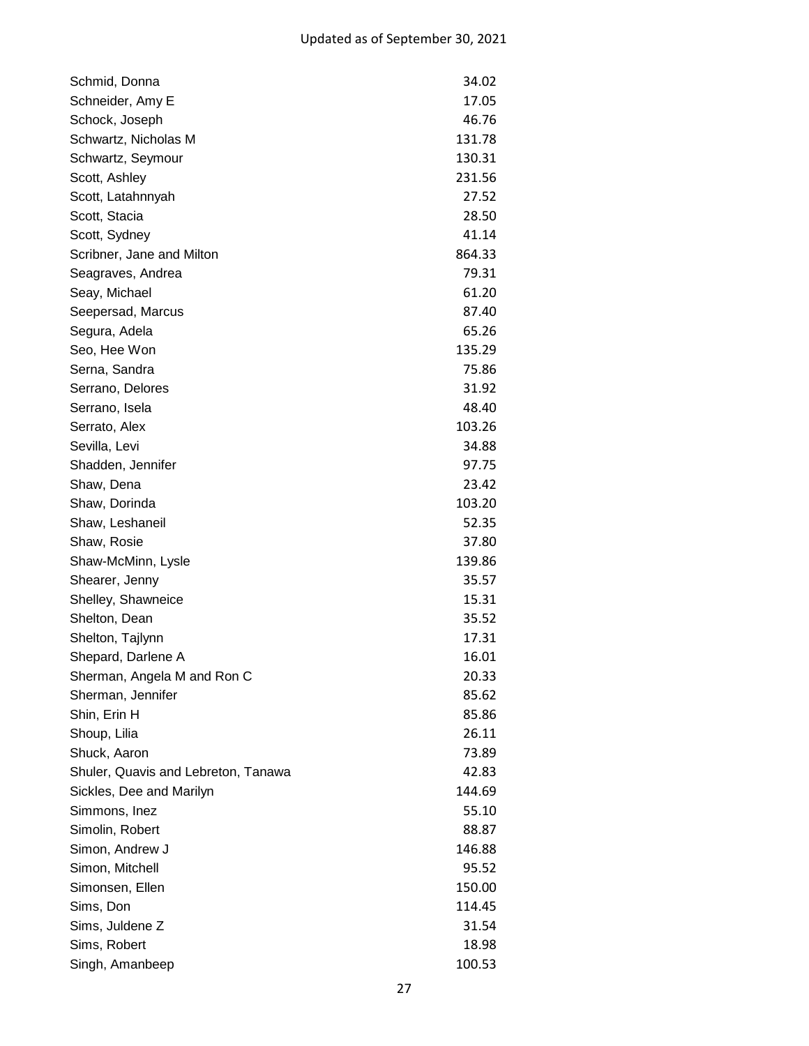| Schmid, Donna                       | 34.02  |
|-------------------------------------|--------|
| Schneider, Amy E                    | 17.05  |
| Schock, Joseph                      | 46.76  |
| Schwartz, Nicholas M                | 131.78 |
| Schwartz, Seymour                   | 130.31 |
| Scott, Ashley                       | 231.56 |
| Scott, Latahnnyah                   | 27.52  |
| Scott, Stacia                       | 28.50  |
| Scott, Sydney                       | 41.14  |
| Scribner, Jane and Milton           | 864.33 |
| Seagraves, Andrea                   | 79.31  |
| Seay, Michael                       | 61.20  |
| Seepersad, Marcus                   | 87.40  |
| Segura, Adela                       | 65.26  |
| Seo, Hee Won                        | 135.29 |
| Serna, Sandra                       | 75.86  |
| Serrano, Delores                    | 31.92  |
| Serrano, Isela                      | 48.40  |
| Serrato, Alex                       | 103.26 |
| Sevilla, Levi                       | 34.88  |
| Shadden, Jennifer                   | 97.75  |
| Shaw, Dena                          | 23.42  |
| Shaw, Dorinda                       | 103.20 |
| Shaw, Leshaneil                     | 52.35  |
| Shaw, Rosie                         | 37.80  |
| Shaw-McMinn, Lysle                  | 139.86 |
| Shearer, Jenny                      | 35.57  |
| Shelley, Shawneice                  | 15.31  |
| Shelton, Dean                       | 35.52  |
| Shelton, Tajlynn                    | 17.31  |
| Shepard, Darlene A                  | 16.01  |
| Sherman, Angela M and Ron C         | 20.33  |
| Sherman, Jennifer                   | 85.62  |
| Shin, Erin H                        | 85.86  |
| Shoup, Lilia                        | 26.11  |
| Shuck, Aaron                        | 73.89  |
| Shuler, Quavis and Lebreton, Tanawa | 42.83  |
| Sickles, Dee and Marilyn            | 144.69 |
| Simmons, Inez                       | 55.10  |
| Simolin, Robert                     | 88.87  |
| Simon, Andrew J                     | 146.88 |
| Simon, Mitchell                     | 95.52  |
| Simonsen, Ellen                     | 150.00 |
| Sims, Don                           | 114.45 |
| Sims, Juldene Z                     | 31.54  |
| Sims, Robert                        | 18.98  |
| Singh, Amanbeep                     | 100.53 |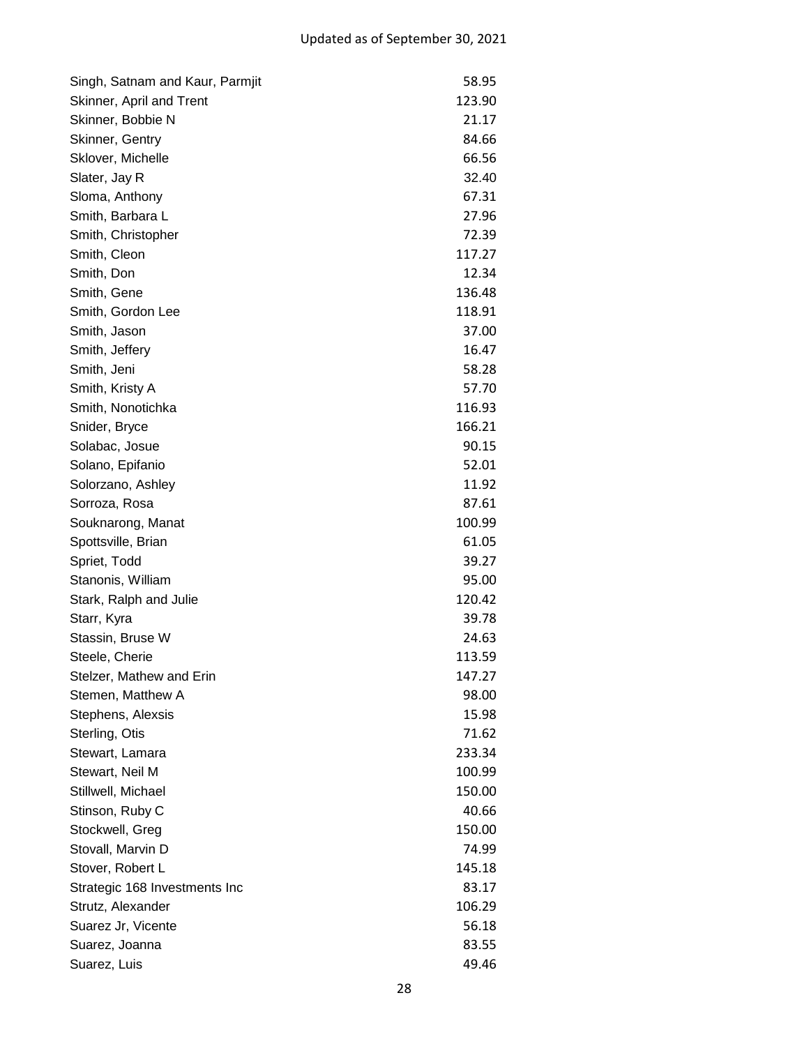| Singh, Satnam and Kaur, Parmjit | 58.95  |
|---------------------------------|--------|
| Skinner, April and Trent        | 123.90 |
| Skinner, Bobbie N               | 21.17  |
| Skinner, Gentry                 | 84.66  |
| Sklover, Michelle               | 66.56  |
| Slater, Jay R                   | 32.40  |
| Sloma, Anthony                  | 67.31  |
| Smith, Barbara L                | 27.96  |
| Smith, Christopher              | 72.39  |
| Smith, Cleon                    | 117.27 |
| Smith, Don                      | 12.34  |
| Smith, Gene                     | 136.48 |
| Smith, Gordon Lee               | 118.91 |
| Smith, Jason                    | 37.00  |
| Smith, Jeffery                  | 16.47  |
| Smith, Jeni                     | 58.28  |
| Smith, Kristy A                 | 57.70  |
| Smith, Nonotichka               | 116.93 |
| Snider, Bryce                   | 166.21 |
| Solabac, Josue                  | 90.15  |
| Solano, Epifanio                | 52.01  |
| Solorzano, Ashley               | 11.92  |
| Sorroza, Rosa                   | 87.61  |
| Souknarong, Manat               | 100.99 |
| Spottsville, Brian              | 61.05  |
| Spriet, Todd                    | 39.27  |
| Stanonis, William               | 95.00  |
| Stark, Ralph and Julie          | 120.42 |
| Starr, Kyra                     | 39.78  |
| Stassin, Bruse W                | 24.63  |
| Steele, Cherie                  | 113.59 |
| Stelzer, Mathew and Erin        | 147.27 |
| Stemen, Matthew A               | 98.00  |
| Stephens, Alexsis               | 15.98  |
| Sterling, Otis                  | 71.62  |
| Stewart, Lamara                 | 233.34 |
| Stewart, Neil M                 | 100.99 |
| Stillwell, Michael              | 150.00 |
| Stinson, Ruby C                 | 40.66  |
| Stockwell, Greg                 | 150.00 |
| Stovall, Marvin D               | 74.99  |
| Stover, Robert L                | 145.18 |
| Strategic 168 Investments Inc   | 83.17  |
| Strutz, Alexander               | 106.29 |
| Suarez Jr, Vicente              | 56.18  |
| Suarez, Joanna                  | 83.55  |
| Suarez, Luis                    | 49.46  |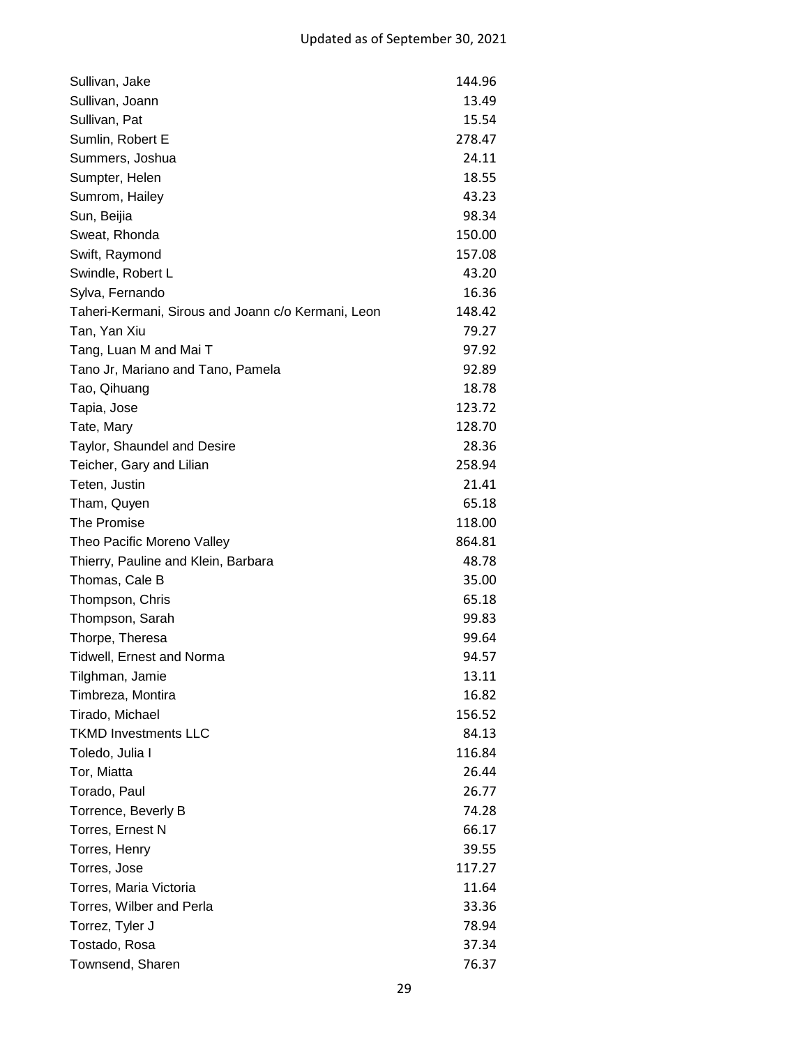| Sullivan, Jake                                     | 144.96 |
|----------------------------------------------------|--------|
| Sullivan, Joann                                    | 13.49  |
| Sullivan, Pat                                      | 15.54  |
| Sumlin, Robert E                                   | 278.47 |
| Summers, Joshua                                    | 24.11  |
| Sumpter, Helen                                     | 18.55  |
| Sumrom, Hailey                                     | 43.23  |
| Sun, Beijia                                        | 98.34  |
| Sweat, Rhonda                                      | 150.00 |
| Swift, Raymond                                     | 157.08 |
| Swindle, Robert L                                  | 43.20  |
| Sylva, Fernando                                    | 16.36  |
| Taheri-Kermani, Sirous and Joann c/o Kermani, Leon | 148.42 |
| Tan, Yan Xiu                                       | 79.27  |
| Tang, Luan M and Mai T                             | 97.92  |
| Tano Jr, Mariano and Tano, Pamela                  | 92.89  |
| Tao, Qihuang                                       | 18.78  |
| Tapia, Jose                                        | 123.72 |
| Tate, Mary                                         | 128.70 |
| Taylor, Shaundel and Desire                        | 28.36  |
| Teicher, Gary and Lilian                           | 258.94 |
| Teten, Justin                                      | 21.41  |
| Tham, Quyen                                        | 65.18  |
| The Promise                                        | 118.00 |
| Theo Pacific Moreno Valley                         | 864.81 |
| Thierry, Pauline and Klein, Barbara                | 48.78  |
| Thomas, Cale B                                     | 35.00  |
| Thompson, Chris                                    | 65.18  |
| Thompson, Sarah                                    | 99.83  |
| Thorpe, Theresa                                    | 99.64  |
| <b>Tidwell, Ernest and Norma</b>                   | 94.57  |
| Tilghman, Jamie                                    | 13.11  |
| Timbreza, Montira                                  | 16.82  |
| Tirado, Michael                                    | 156.52 |
| <b>TKMD Investments LLC</b>                        | 84.13  |
| Toledo, Julia I                                    | 116.84 |
| Tor, Miatta                                        | 26.44  |
| Torado, Paul                                       | 26.77  |
| Torrence, Beverly B                                | 74.28  |
| Torres, Ernest N                                   | 66.17  |
| Torres, Henry                                      | 39.55  |
| Torres, Jose                                       | 117.27 |
| Torres, Maria Victoria                             | 11.64  |
| Torres, Wilber and Perla                           | 33.36  |
| Torrez, Tyler J                                    | 78.94  |
| Tostado, Rosa                                      | 37.34  |
| Townsend, Sharen                                   | 76.37  |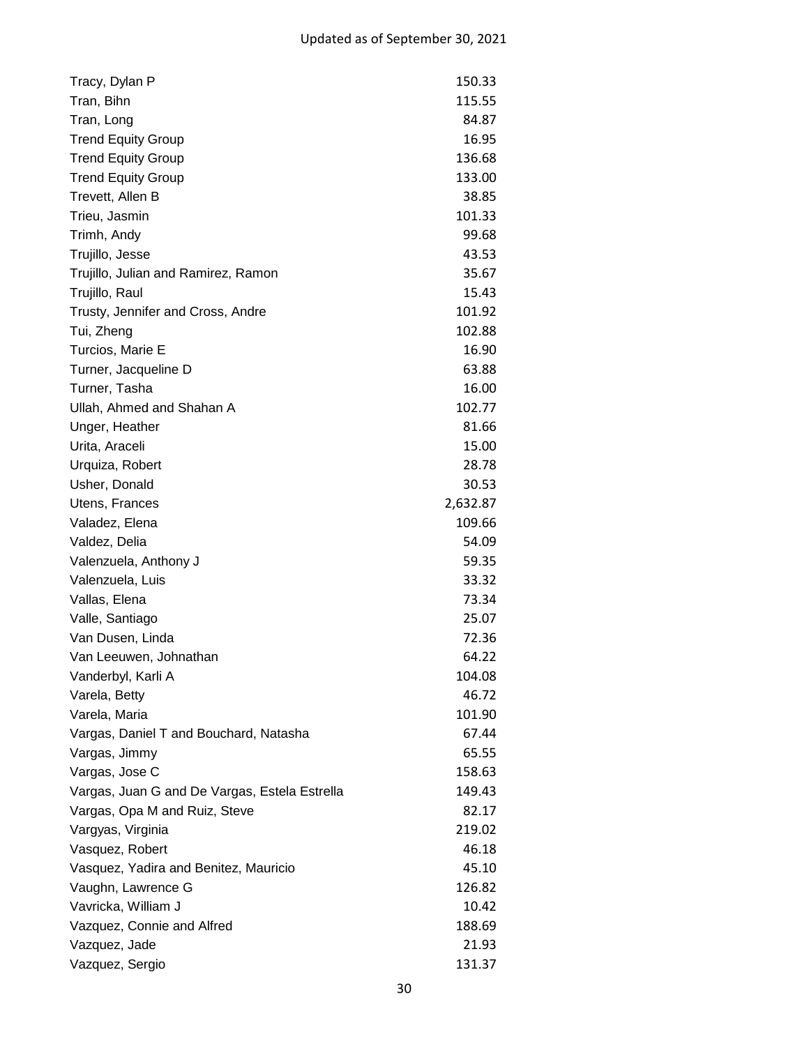| Tracy, Dylan P                                | 150.33   |
|-----------------------------------------------|----------|
| Tran, Bihn                                    | 115.55   |
| Tran, Long                                    | 84.87    |
| <b>Trend Equity Group</b>                     | 16.95    |
| <b>Trend Equity Group</b>                     | 136.68   |
| <b>Trend Equity Group</b>                     | 133.00   |
| Trevett, Allen B                              | 38.85    |
| Trieu, Jasmin                                 | 101.33   |
| Trimh, Andy                                   | 99.68    |
| Trujillo, Jesse                               | 43.53    |
| Trujillo, Julian and Ramirez, Ramon           | 35.67    |
| Trujillo, Raul                                | 15.43    |
| Trusty, Jennifer and Cross, Andre             | 101.92   |
| Tui, Zheng                                    | 102.88   |
| Turcios, Marie E                              | 16.90    |
| Turner, Jacqueline D                          | 63.88    |
| Turner, Tasha                                 | 16.00    |
| Ullah, Ahmed and Shahan A                     | 102.77   |
| Unger, Heather                                | 81.66    |
| Urita, Araceli                                | 15.00    |
| Urquiza, Robert                               | 28.78    |
| Usher, Donald                                 | 30.53    |
| Utens, Frances                                | 2,632.87 |
| Valadez, Elena                                | 109.66   |
| Valdez, Delia                                 | 54.09    |
| Valenzuela, Anthony J                         | 59.35    |
| Valenzuela, Luis                              | 33.32    |
| Vallas, Elena                                 | 73.34    |
| Valle, Santiago                               | 25.07    |
| Van Dusen, Linda                              | 72.36    |
| Van Leeuwen, Johnathan                        | 64.22    |
| Vanderbyl, Karli A                            | 104.08   |
| Varela, Betty                                 | 46.72    |
| Varela, Maria                                 | 101.90   |
| Vargas, Daniel T and Bouchard, Natasha        | 67.44    |
| Vargas, Jimmy                                 | 65.55    |
| Vargas, Jose C                                | 158.63   |
| Vargas, Juan G and De Vargas, Estela Estrella | 149.43   |
| Vargas, Opa M and Ruiz, Steve                 | 82.17    |
| Vargyas, Virginia                             | 219.02   |
| Vasquez, Robert                               | 46.18    |
| Vasquez, Yadira and Benitez, Mauricio         | 45.10    |
| Vaughn, Lawrence G                            | 126.82   |
| Vavricka, William J                           | 10.42    |
| Vazquez, Connie and Alfred                    | 188.69   |
| Vazquez, Jade                                 | 21.93    |
| Vazquez, Sergio                               | 131.37   |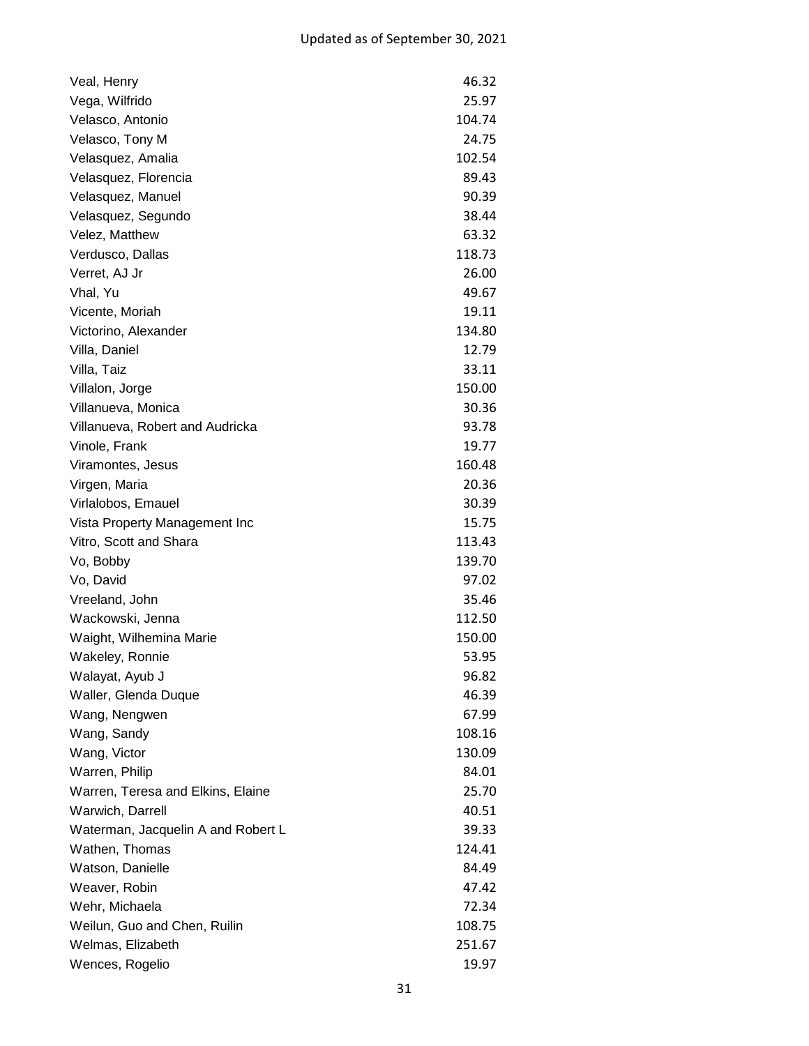| Veal, Henry                        | 46.32  |
|------------------------------------|--------|
| Vega, Wilfrido                     | 25.97  |
| Velasco, Antonio                   | 104.74 |
| Velasco, Tony M                    | 24.75  |
| Velasquez, Amalia                  | 102.54 |
| Velasquez, Florencia               | 89.43  |
| Velasquez, Manuel                  | 90.39  |
| Velasquez, Segundo                 | 38.44  |
| Velez, Matthew                     | 63.32  |
| Verdusco, Dallas                   | 118.73 |
| Verret, AJ Jr                      | 26.00  |
| Vhal, Yu                           | 49.67  |
| Vicente, Moriah                    | 19.11  |
| Victorino, Alexander               | 134.80 |
| Villa, Daniel                      | 12.79  |
| Villa, Taiz                        | 33.11  |
| Villalon, Jorge                    | 150.00 |
| Villanueva, Monica                 | 30.36  |
| Villanueva, Robert and Audricka    | 93.78  |
| Vinole, Frank                      | 19.77  |
| Viramontes, Jesus                  | 160.48 |
| Virgen, Maria                      | 20.36  |
| Virlalobos, Emauel                 | 30.39  |
| Vista Property Management Inc      | 15.75  |
| Vitro, Scott and Shara             | 113.43 |
| Vo, Bobby                          | 139.70 |
| Vo, David                          | 97.02  |
| Vreeland, John                     | 35.46  |
| Wackowski, Jenna                   | 112.50 |
| Waight, Wilhemina Marie            | 150.00 |
| Wakeley, Ronnie                    | 53.95  |
| Walayat, Ayub J                    | 96.82  |
| Waller, Glenda Duque               | 46.39  |
| Wang, Nengwen                      | 67.99  |
| Wang, Sandy                        | 108.16 |
| Wang, Victor                       | 130.09 |
| Warren, Philip                     | 84.01  |
| Warren, Teresa and Elkins, Elaine  | 25.70  |
| Warwich, Darrell                   | 40.51  |
| Waterman, Jacquelin A and Robert L | 39.33  |
| Wathen, Thomas                     | 124.41 |
| Watson, Danielle                   | 84.49  |
| Weaver, Robin                      | 47.42  |
| Wehr, Michaela                     | 72.34  |
| Weilun, Guo and Chen, Ruilin       | 108.75 |
| Welmas, Elizabeth                  | 251.67 |
| Wences, Rogelio                    | 19.97  |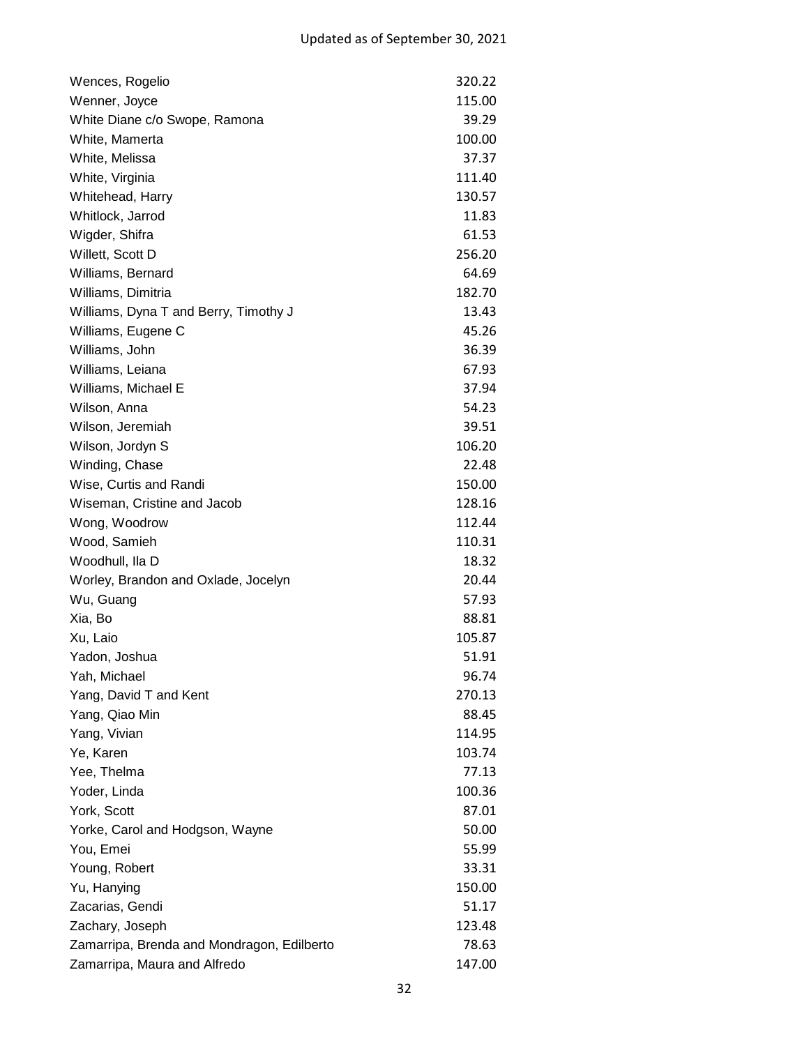| Wences, Rogelio                            | 320.22 |
|--------------------------------------------|--------|
| Wenner, Joyce                              | 115.00 |
| White Diane c/o Swope, Ramona              | 39.29  |
| White, Mamerta                             | 100.00 |
| White, Melissa                             | 37.37  |
| White, Virginia                            | 111.40 |
| Whitehead, Harry                           | 130.57 |
| Whitlock, Jarrod                           | 11.83  |
| Wigder, Shifra                             | 61.53  |
| Willett, Scott D                           | 256.20 |
| Williams, Bernard                          | 64.69  |
| Williams, Dimitria                         | 182.70 |
| Williams, Dyna T and Berry, Timothy J      | 13.43  |
| Williams, Eugene C                         | 45.26  |
| Williams, John                             | 36.39  |
| Williams, Leiana                           | 67.93  |
| Williams, Michael E                        | 37.94  |
| Wilson, Anna                               | 54.23  |
| Wilson, Jeremiah                           | 39.51  |
| Wilson, Jordyn S                           | 106.20 |
| Winding, Chase                             | 22.48  |
| Wise, Curtis and Randi                     | 150.00 |
| Wiseman, Cristine and Jacob                | 128.16 |
| Wong, Woodrow                              | 112.44 |
| Wood, Samieh                               | 110.31 |
| Woodhull, Ila D                            | 18.32  |
| Worley, Brandon and Oxlade, Jocelyn        | 20.44  |
| Wu, Guang                                  | 57.93  |
| Xia, Bo                                    | 88.81  |
| Xu, Laio                                   | 105.87 |
| Yadon, Joshua                              | 51.91  |
| Yah, Michael                               | 96.74  |
| Yang, David T and Kent                     | 270.13 |
| Yang, Qiao Min                             | 88.45  |
| Yang, Vivian                               | 114.95 |
| Ye, Karen                                  | 103.74 |
| Yee, Thelma                                | 77.13  |
| Yoder, Linda                               | 100.36 |
| York, Scott                                | 87.01  |
| Yorke, Carol and Hodgson, Wayne            | 50.00  |
| You, Emei                                  | 55.99  |
| Young, Robert                              | 33.31  |
| Yu, Hanying                                | 150.00 |
| Zacarias, Gendi                            | 51.17  |
| Zachary, Joseph                            | 123.48 |
| Zamarripa, Brenda and Mondragon, Edilberto | 78.63  |
| Zamarripa, Maura and Alfredo               | 147.00 |